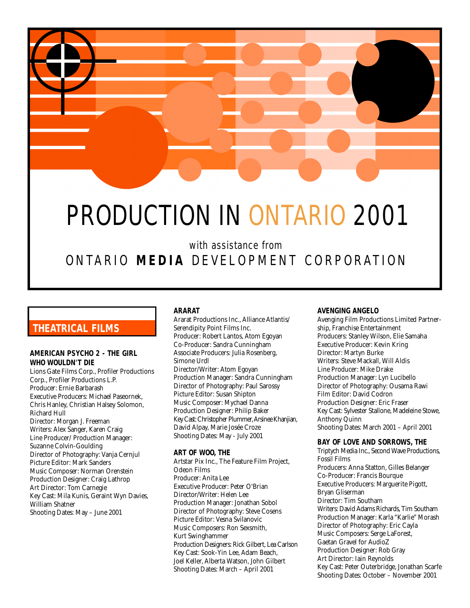

# PRODUCTION IN ONTARIO 2001

with assistance from ONTARIO **MEDIA** DEVELOPMENT CORPORATION

# **THEATRICAL FILMS**

## **AMERICAN PSYCHO 2 - THE GIRL WHO WOULDN'T DIE**

Lions Gate Films Corp., Profiler Productions Corp., Profiler Productions L.P. Producer: Ernie Barbarash Executive Producers: Michael Paseornek, Chris Hanley, Christian Halsey Solomon, Richard Hull Director: Morgan J. Freeman Writers: Alex Sanger, Karen Craig Line Producer/ Production Manager: Suzanne Colvin-Goulding Director of Photography: Vanja Cernjul Picture Editor: Mark Sanders Music Composer: Norman Orenstein Production Designer: Craig Lathrop Art Director: Tom Carnegie Key Cast: Mila Kunis, Geraint Wyn Davies, William Shatner Shooting Dates: May – June 2001

## **ARARAT**

Ararat Productions Inc., Alliance Atlantis/ Serendipity Point Films Inc. Producer: Robert Lantos, Atom Egoyan Co-Producer: Sandra Cunningham Associate Producers: Julia Rosenberg, Simone Urdl Director/Writer: Atom Egoyan Production Manager: Sandra Cunningham Director of Photography: Paul Sarossy Picture Editor: Susan Shipton Music Composer: Mychael Danna Production Designer: Philip Baker Key Cast: Christopher Plummer, Arsinee Khanjian, David Alpay, Marie Josée Croze Shooting Dates: May - July 2001

## **ART OF WOO, THE**

Artstar Pix Inc., The Feature Film Project, Odeon Films Producer: Anita Lee Executive Producer: Peter O'Brian Director/Writer: Helen Lee Production Manager: Jonathan Sobol Director of Photography: Steve Cosens Picture Editor: Vesna Svilanovic Music Composers: Ron Sexsmith, Kurt Swinghammer Production Designers: Rick Gilbert, Lea Carlson Key Cast: Sook-Yin Lee, Adam Beach, Joel Keller, Alberta Watson, John Gilbert Shooting Dates: March – April 2001

## **AVENGING ANGELO**

Avenging Film Productions Limited Partnership, Franchise Entertainment Producers: Stanley Wilson, Elie Samaha Executive Producer: Kevin Kring Director: Martyn Burke Writers: Steve Mackall, Will Aldis Line Producer: Mike Drake Production Manager: Lyn Lucibello Director of Photography: Ousama Rawi Film Editor: David Codron Production Designer: Eric Fraser Key Cast: Sylvester Stallone, Madeleine Stowe, Anthony Quinn Shooting Dates: March 2001 – April 2001

#### **BAY OF LOVE AND SORROWS, THE**

Triptych Media Inc., Second Wave Productions, Fossil Films Producers: Anna Statton, Gilles Belanger Co-Producer: Francis Bourque Executive Producers: Marguerite Pigott, Bryan Gliserman Director: Tim Southam Writers: David Adams Richards, Tim Southam Production Manager: Karla "Karlie" Morash Director of Photography: Eric Cayla Music Composers: Serge LaForest, Gaetan Gravel for AudioZ Production Designer: Rob Gray Art Director: Iain Reynolds Key Cast: Peter Outerbridge, Jonathan Scarfe Shooting Dates: October – November 2001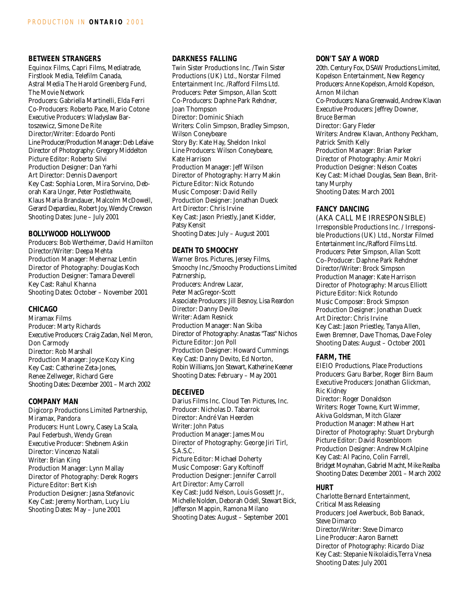## **BETWEEN STRANGERS**

Equinox Films, Capri Films, Mediatrade, Firstlook Media, Telefilm Canada, Astral Media The Harold Greenberg Fund, The Movie Network Producers: Gabriella Martinelli, Elda Ferri Co-Producers: Roberto Pace, Mario Cotone Executive Producers: Wladyslaw Bartoszewicz, Simone De Rite Director/Writer: Edoardo Ponti Line Producer/Production Manager: Deb Lefaive Director of Photography: Gregory Middelton Picture Editor: Roberto Silvi Production Designer: Dan Yarhi Art Director: Dennis Davenport Key Cast: Sophia Loren, Mira Sorvino, Deborah Kara Unger, Peter Postlethwaite, Klaus Maria Brandauer, Malcolm McDowell, Gerard Depardieu, Robert Joy, Wendy Crewson Shooting Dates: June – July 2001

## **BOLLYWOOD HOLLYWOOD**

Producers: Bob Wertheimer, David Hamilton Director/Writer: Deepa Mehta Production Manager: Mehernaz Lentin Director of Photography: Douglas Koch Production Designer: Tamara Deverell Key Cast: Rahul Khanna Shooting Dates: October – November 2001

## **CHICAGO**

Miramax Films Producer: Marty Richards Executive Producers: Craig Zadan, Neil Meron, Don Carmody Director: Rob Marshall Production Manager: Joyce Kozy King Key Cast: Catherine Zeta-Jones, Renee Zellweger, Richard Gere Shooting Dates: December 2001 – March 2002

#### **COMPANY MAN**

Digicorp Productions Limited Partnership, Miramax, Pandora Producers: Hunt Lowry, Casey La Scala, Paul Federbush, Wendy Grean Executive Producer: Shebnem Askin Director: Vincenzo Natali Writer: Brian King Production Manager: Lynn Mallay Director of Photography: Derek Rogers Picture Editor: Bert Kish Production Designer: Jasna Stefanovic Key Cast: Jeremy Northam, Lucy Liu Shooting Dates: May – June 2001

## **DARKNESS FALLING**

Twin Sister Productions Inc. /Twin Sister Productions (UK) Ltd., Norstar Filmed Entertainment Inc. /Rafford Films Ltd. Producers: Peter Simpson, Allan Scott Co-Producers: Daphne Park Rehdner, Joan Thompson Director: Dominic Shiach Writers: Colin Simpson, Bradley Simpson, Wilson Coneybeare Story By: Kate Hay, Sheldon Inkol Line Producers: Wilson Coneybeare, Kate Harrison Production Manager: Jeff Wilson Director of Photography: Harry Makin Picture Editor: Nick Rotundo Music Composer: David Reilly Production Designer: Jonathan Dueck Art Director: Chris Irvine Key Cast: Jason Priestly, Janet Kidder, Patsy Kensit Shooting Dates: July – August 2001

#### **DEATH TO SMOOCHY**

Warner Bros. Pictures, Jersey Films, Smoochy Inc./Smoochy Productions Limited Patrnership, Producers: Andrew Lazar, Peter MacGregor-Scott Associate Producers: Jill Besnoy, Lisa Reardon Director: Danny Devito Writer: Adam Resnick Production Manager: Nan Skiba Director of Photography: Anastas "Tass" Nichos Picture Editor: Jon Poll Production Designer: Howard Cummings Key Cast: Danny Devito, Ed Norton, Robin Williams, Jon Stewart, Katherine Keener Shooting Dates: February – May 2001

## **DECEIVED**

Darius Films Inc. Cloud Ten Pictures, Inc. Producer: Nicholas D. Tabarrok Director: André Van Heerden Writer: John Patus Production Manager: James Mou Director of Photography: George Jiri Tirl, S.A.S.C. Picture Editor: Michael Doherty Music Composer: Gary Koftinoff Production Designer: Jennifer Carroll Art Director: Amy Carroll Key Cast: Judd Nelson, Louis Gossett Jr., Michelle Nolden, Deborah Odell, Stewart Bick, Jefferson Mappin, Ramona Milano Shooting Dates: August – September 2001

## **DON'T SAY A WORD**

20th. Century Fox, DSAW Productions Limited, Kopelson Entertainment, New Regency Producers: Anne Kopelson, Arnold Kopelson, Arnon Milchan Co-Producers: Nana Greenwald, Andrew Klavan Executive Producers: Jeffrey Downer, Bruce Berman Director: Gary Fleder Writers: Andrew Klavan, Anthony Peckham, Patrick Smith Kelly Production Manager: Brian Parker Director of Photography: Amir Mokri Production Designer: Nelson Coates Key Cast: Michael Douglas, Sean Bean, Brittany Murphy Shooting Dates: March 2001

#### **FANCY DANCING**

(AKA CALL ME IRRESPONSIBLE) Irresponsible Productions Inc. / Irresponsible Productions (UK) Ltd., Norstar Filmed Entertainment Inc./Rafford Films Ltd. Producers: Peter Simpson, Allan Scott Co–Producer: Daphne Park Rehdner Director/Writer: Brock Simpson Production Manager: Kate Harrison Director of Photography: Marcus Elliott Picture Editor: Nick Rotundo Music Composer: Brock Simpson Production Designer: Jonathan Dueck Art Director: Chris Irvine Key Cast: Jason Priestley, Tanya Allen, Ewen Bremner, Dave Thomas, Dave Foley Shooting Dates: August – October 2001

#### **FARM, THE**

EIEIO Productions, Place Productions Producers: Garu Barber, Roger Birn Baum Executive Producers: Jonathan Glickman, Ric Kidney Director: Roger Donaldson Writers: Roger Towne, Kurt Wimmer, Akiva Goldsman, Mitch Glazer Production Manager: Mathew Hart Director of Photography: Stuart Dryburgh Picture Editor: David Rosenbloom Production Designer: Andrew McAlpine Key Cast: Al Pacino, Colin Farrell, Bridget Moynahan, Gabriel Macht, Mike Realba Shooting Dates: December 2001 – March 2002

## **HURT**

Charlotte Bernard Entertainment, Critical Mass Releasing Producers: Joel Awerbuck, Bob Banack, Steve Dimarco Director/Writer: Steve Dimarco Line Producer: Aaron Barnett Director of Photography: Ricardo Diaz Key Cast: Stepanie Nikolaidis,Terra Vnesa Shooting Dates: July 2001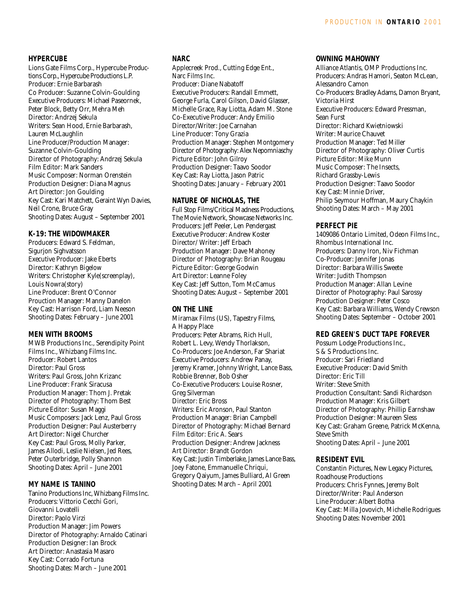## **HYPERCUBE**

Lions Gate Films Corp., Hypercube Productions Corp., Hypercube Productions L.P. Producer: Ernie Barbarash Co Producer: Suzanne Colvin-Goulding Executive Producers: Michael Paseornek, Peter Block, Betty Orr, Mehra Meh Director: Andrzej Sekula Writers: Sean Hood, Ernie Barbarash, Lauren McLaughlin Line Producer/Production Manager: Suzanne Colvin-Goulding Director of Photography: Andrzej Sekula Film Editor: Mark Sanders Music Composer: Norman Orenstein Production Designer: Diana Magnus Art Director: Jon Goulding Key Cast: Kari Matchett, Geraint Wyn Davies, Neil Crone, Bruce Gray Shooting Dates: August – September 2001

## **K-19: THE WIDOWMAKER**

Producers: Edward S. Feldman, Sigurjon Sighvatsson Executive Producer: Jake Eberts Director: Kathryn Bigelow Writers: Christopher Kyle(screenplay), Louis Nowra(story) Line Producer: Brent O'Connor Prouction Manager: Manny Danelon Key Cast: Harrison Ford, Liam Neeson Shooting Dates: February – June 2001

## **MEN WITH BROOMS**

MWB Productions Inc., Serendipity Point Films Inc., Whizbang Films Inc. Producer: Robert Lantos Director: Paul Gross Writers: Paul Gross, John Krizanc Line Producer: Frank Siracusa Production Manager: Thom J. Pretak Director of Photography: Thom Best Picture Editor: Susan Maggi Music Composers: Jack Lenz, Paul Gross Production Designer: Paul Austerberry Art Director: Nigel Churcher Key Cast: Paul Gross, Molly Parker, James Allodi, Leslie Nielsen, Jed Rees, Peter Outerbridge, Polly Shannon Shooting Dates: April – June 2001

#### **MY NAME IS TANINO**

Tanino Productions Inc, Whizbang Films Inc. Producers: Vittorio Cecchi Gori, Giovanni Lovatelli Director: Paolo Virzi Production Manager: Jim Powers Director of Photography: Arnaldo Catinari Production Designer: Ian Brock Art Director: Anastasia Masaro Key Cast: Corrado Fortuna Shooting Dates: March – June 2001

#### **NARC**

Applecreek Prod., Cutting Edge Ent., Narc Films Inc. Producer: Diane Nabatoff Executive Producers: Randall Emmett, George Furla, Carol Gilson, David Glasser, Michelle Grace, Ray Liotta, Adam M. Stone Co-Executive Producer: Andy Emilio Director/Writer: Joe Carnahan Line Producer: Tony Grazia Production Manager: Stephen Montgomery Director of Photography: Alex Nepomniaschy Picture Editor: John Gilroy Production Designer: Taavo Soodor Key Cast: Ray Liotta, Jason Patric Shooting Dates: January – February 2001

#### **NATURE OF NICHOLAS, THE**

Full Stop Films/Critical Madness Productions, The Movie Network, Showcase Networks Inc. Producers: Jeff Peeler, Len Pendergast Executive Producer: Andrew Koster Director/ Writer: Jeff Erbach Production Manager: Dave Mahoney Director of Photography: Brian Rougeau Picture Editor: George Godwin Art Director: Leanne Foley Key Cast: Jeff Sutton, Tom McCamus Shooting Dates: August – September 2001

#### **ON THE LINE**

Miramax Films (US), Tapestry Films, A Happy Place Producers: Peter Abrams, Rich Hull, Robert L. Levy, Wendy Thorlakson, Co-Producers: Joe Anderson, Far Shariat Executive Producers: Andrew Panay, Jeremy Kramer, Johnny Wright, Lance Bass, Robbie Brenner, Bob Osher Co-Executive Producers: Louise Rosner, Greg Silverman Director: Eric Bross Writers: Eric Aronson, Paul Stanton Production Manager: Brian Campbell Director of Photography: Michael Bernard Film Editor: Eric A. Sears Production Designer: Andrew Jackness Art Director: Brandt Gordon Key Cast: Justin Timberlake, James Lance Bass, Joey Fatone, Emmanuelle Chriqui, Gregory Qaiyum, James Bulliard, Al Green Shooting Dates: March – April 2001

#### **OWNING MAHOWNY**

Alliance Atlantis, OMP Productions Inc. Producers: Andras Hamori, Seaton McLean, Alessandro Camon Co-Producers: Bradley Adams, Damon Bryant, Victoria Hirst Executive Producers: Edward Pressman, Sean Furst Director: Richard Kwietniowski Writer: Maurice Chauvet Production Manager: Ted Miller Director of Photography: Oliver Curtis Picture Editor: Mike Munn Music Composer: The Insects, Richard Grassby-Lewis Production Designer: Taavo Soodor Key Cast: Minnie Driver, Philip Seymour Hoffman, Maury Chaykin Shooting Dates: March – May 2001

## **PERFECT PIE**

1409086 Ontario Limited, Odeon Films Inc., Rhombus International Inc. Producers: Danny Iron, Niv Fichman Co-Producer: Jennifer Jonas Director: Barbara Willis Sweete Writer: Judith Thompson Production Manager: Allan Levine Director of Photography: Paul Sarossy Production Designer: Peter Cosco Key Cast: Barbara Williams, Wendy Crewson Shooting Dates: September – October 2001

## **RED GREEN'S DUCT TAPE FOREVER**

Possum Lodge Productions Inc., S & S Productions Inc. Producer: Sari Friedland Executive Producer: David Smith Director: Eric Till Writer: Steve Smith Production Consultant: Sandi Richardson Production Manager: Kris Gilbert Director of Photography: Phillip Earnshaw Production Designer: Maureen Sless Key Cast: Graham Greene, Patrick McKenna, Steve Smith Shooting Dates: April – June 2001

#### **RESIDENT EVIL**

Constantin Pictures, New Legacy Pictures, Roadhouse Productions Producers: Chris Fynnes, Jeremy Bolt Director/Writer: Paul Anderson Line Producer: Albert Botha Key Cast: Milla Jovovich, Michelle Rodrigues Shooting Dates: November 2001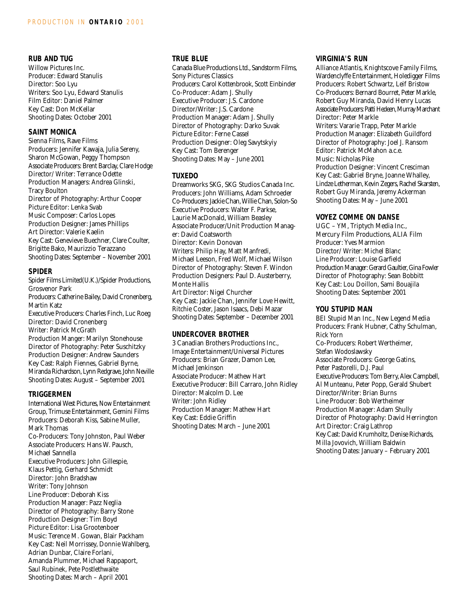## **RUB AND TUG**

Willow Pictures Inc. Producer: Edward Stanulis Director: Soo Lyu Writers: Soo Lyu, Edward Stanulis Film Editor: Daniel Palmer Key Cast: Don McKellar Shooting Dates: October 2001

#### **SAINT MONICA**

Sienna Films, Rave Films Producers: Jennifer Kawaja, Julia Sereny, Sharon McGowan, Peggy Thompson Associate Producers: Brent Barclay, Clare Hodge Director/ Writer: Terrance Odette Production Managers: Andrea Glinski, Tracy Boulton Director of Photography: Arthur Cooper Picture Editor: Lenka Svab Music Composer: Carlos Lopes Production Designer: James Phillips Art Director: Valerie Kaelin Key Cast: Genevieve Buechner, Clare Coulter, Brigitte Bako, Maurizzio Terazzano Shooting Dates: September – November 2001

#### **SPIDER**

Spider Films Limited(U.K.)/Spider Productions, Grosvenor Park Producers: Catherine Bailey, David Cronenberg, Martin Katz Executive Producers: Charles Finch, Luc Roeg Director: David Cronenberg Writer: Patrick McGrath Production Manger: Marilyn Stonehouse Director of Photography: Peter Suschitzky Production Designer: Andrew Saunders Key Cast: Ralph Fiennes, Gabriel Byrne, Miranda Richardson, Lynn Redgrave, John Neville Shooting Dates: August – September 2001

## **TRIGGERMEN**

International West Pictures, Now Entertainment Group, Trimuse Entertainment, Gemini Films Producers: Deborah Kiss, Sabine Muller, Mark Thomas Co-Producers: Tony Johnston, Paul Weber Associate Producers: Hans W. Pausch, Michael Sannella Executive Producers: John Gillespie, Klaus Pettig, Gerhard Schmidt Director: John Bradshaw Writer: Tony Johnson Line Producer: Deborah Kiss Production Manager: Pazz Neglia Director of Photography: Barry Stone Production Designer: Tim Boyd Picture Editor: Lisa Grootenboer Music: Terence M. Gowan, Blair Packham Key Cast: Neil Morrissey, Donnie Wahlberg, Adrian Dunbar, Claire Forlani, Amanda Plummer, Michael Rappaport, Saul Rubinek, Pete Postlethwaite Shooting Dates: March – April 2001

## **TRUE BLUE**

Canada Blue Productions Ltd., Sandstorm Films, Sony Pictures Classics Producers: Carol Kottenbrook, Scott Einbinder Co-Producer: Adam J. Shully Executive Producer: J.S. Cardone Director/Writer: J.S. Cardone Production Manager: Adam J. Shully Director of Photography: Darko Suvak Picture Editor: Ferne Cassel Production Designer: Oleg Savytskyiy Key Cast: Tom Berenger Shooting Dates: May – June 2001

## **TUXEDO**

Dreamworks SKG, SKG Studios Canada Inc. Producers: John Williams, Adam Schroeder Co-Producers: Jackie Chan, Willie Chan, Solon-So Executive Producers: Walter F. Parkse, Laurie MacDonald, William Beasley Associate Producer/Unit Production Manager: David Coatsworth Director: Kevin Donovan Writers: Philip Hay, Matt Manfredi, Michael Leeson, Fred Wolf, Michael Wilson Director of Photography: Steven F. Windon Production Designers: Paul D. Austerberry, Monte Hallis Art Director: Nigel Churcher Key Cast: Jackie Chan, Jennifer Love Hewitt, Ritchie Coster, Jason Isaacs, Debi Mazar Shooting Dates: September – December 2001

#### **UNDERCOVER BROTHER**

3 Canadian Brothers Productions Inc., Image Entertainment/Universal Pictures Producers: Brian Grazer, Damon Lee, Michael Jenkinson Associate Producer: Mathew Hart Executive Producer: Bill Carraro, John Ridley Director: Malcolm D. Lee Writer: John Ridley Production Manager: Mathew Hart Key Cast: Eddie Griffin Shooting Dates: March – June 2001

#### **VIRGINIA'S RUN**

Alliance Atlantis, Knightscove Family Films, Wardenclyffe Entertainment, Holedigger Films Producers: Robert Schwartz, Leif Bristow Co-Producers: Bernard Bourret, Peter Markle, Robert Guy Miranda, David Henry Lucas Associate Producers: Patti Hedeen, Murray Marchant Director: Peter Markle Writers: Vararie Trapp, Peter Markle Production Manager: Elizabeth Guildford Director of Photography: Joel J. Ransom Editor: Patrick McMahon a.c.e. Music: Nicholas Pike Production Designer: Vincent Cresciman Key Cast: Gabriel Bryne, Joanne Whalley, Lindze Letherman, Kevin Zegers, Rachel Skarsten, Robert Guy Miranda, Jeremy Ackerman Shooting Dates: May – June 2001

## **VOYEZ COMME ON DANSE**

UGC – YM, Triptych Media Inc., Mercury Film Productions, ALIA Film Producer: Yves Marmion Director/ Writer: Michel Blanc Line Producer: Louise Garfield Production Manager: Gerard Gaultier, Gina Fowler Director of Photography: Sean Bobbitt Key Cast: Lou Doillon, Sami Bouajila Shooting Dates: September 2001

#### **YOU STUPID MAN**

BEI Stupid Man Inc., New Legend Media Producers: Frank Hubner, Cathy Schulman, Rick Yorn Co-Producers: Robert Wertheimer, Stefan Wodoslawsky Associate Producers: George Gatins, Peter Pastorelli, D.J. Paul Executive Producers: Tom Berry, Alex Campbell, Al Munteanu, Peter Popp, Gerald Shubert Director/Writer: Brian Burns Line Producer: Bob Wertheimer Production Manager: Adam Shully Director of Photography: David Herrington Art Director: Craig Lathrop Key Cast: David Krumholtz, Denise Richards, Milla Jovovich, William Baldwin Shooting Dates: January – February 2001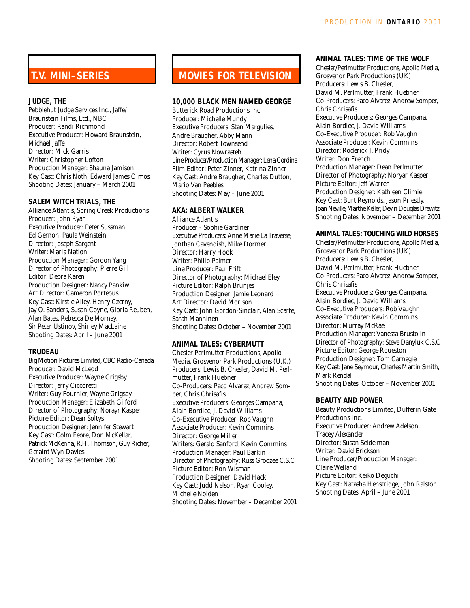# **T.V. MINI–SERIES**

## **JUDGE, THE**

Pebblehut Judge Services Inc., Jaffe/ Braunstein Films, Ltd., NBC Producer: Randi Richmond Executive Producer: Howard Braunstein, Michael Jaffe Director: Mick Garris Writer: Christopher Lofton Production Manager: Shauna Jamison Key Cast: Chris Noth, Edward James Olmos Shooting Dates: January – March 2001

#### **SALEM WITCH TRIALS, THE**

Alliance Atlantis, Spring Creek Productions Producer: John Ryan Executive Producer: Peter Sussman, Ed Gernon, Paula Weinstein Director: Joseph Sargent Writer: Maria Nation Production Manager: Gordon Yang Director of Photography: Pierre Gill Editor: Debra Karen Production Designer: Nancy Pankiw Art Director: Cameron Porteous Key Cast: Kirstie Alley, Henry Czerny, Jay O. Sanders, Susan Coyne, Gloria Reuben, Alan Bates, Rebecca De Mornay, Sir Peter Ustinov, Shirley MacLaine Shooting Dates: April – June 2001

## **TRUDEAU**

Big Motion Pictures Limited, CBC Radio-Canada Producer: David McLeod Executive Producer: Wayne Grigsby Director: Jerry Ciccoretti Writer: Guy Fournier, Wayne Grigsby Production Manager: Elizabeth Gilford Director of Photography: Norayr Kasper Picture Editor: Dean Soltys Production Designer: Jennifer Stewart Key Cast: Colm Feore, Don McKellar, Patrick McKenna, R.H. Thomson, Guy Richer, Geraint Wyn Davies Shooting Dates: September 2001

# **MOVIES FOR TELEVISION**

## **10,000 BLACK MEN NAMED GEORGE**

Butterick Road Productions Inc. Producer: Michelle Mundy Executive Producers: Stan Margulies, Andre Braugher, Abby Mann Director: Robert Townsend Writer: Cyrus Nowrasteh Line Producer/Production Manager: Lena Cordina Film Editor: Peter Zinner, Katrina Zinner Key Cast: Andre Braugher, Charles Dutton, Mario Van Peebles Shooting Dates: May – June 2001

## **AKA: ALBERT WALKER**

Alliance Atlantis Producer - Sophie Gardiner Executive Producers: Anne Marie La Traverse, Jonthan Cavendish, Mike Dormer Director: Harry Hook Writer: Philip Palmer Line Producer: Paul Frift Director of Photography: Michael Eley Picture Editor: Ralph Brunjes Production Designer: Jamie Leonard Art Director: David Morison Key Cast: John Gordon-Sinclair, Alan Scarfe, Sarah Manninen Shooting Dates: October – November 2001

## **ANIMAL TALES: CYBERMUTT**

Chesler Perlmutter Productions, Apollo Media, Grosvenor Park Productions (U.K.) Producers: Lewis B. Chesler, David M. Perlmutter, Frank Huebner Co-Producers: Paco Alvarez, Andrew Somper, Chris Chrisafis Executive Producers: Georges Campana, Alain Bordiec, J. David Williams Co-Executive Producer: Rob Vaughn Associate Producer: Kevin Commins Director: George Miller Writers: Gerald Sanford, Kevin Commins Production Manager: Paul Barkin Director of Photography: Russ Groozee C.S.C Picture Editor: Ron Wisman Production Designer: David Hackl Key Cast: Judd Nelson, Ryan Cooley, Michelle Nolden Shooting Dates: November – December 2001

## **ANIMAL TALES: TIME OF THE WOLF**

Chesler/Perlmutter Productions, Apollo Media, Grosvenor Park Productions (UK) Producers: Lewis B. Chesler, David M. Perlmutter, Frank Huebner Co-Producers: Paco Alvarez, Andrew Somper, Chris Chrisafis Executive Producers: Georges Campana, Alain Bordiec, J. David Williams Co-Executive Producer: Rob Vaughn Associate Producer: Kevin Commins Director: Roderick J. Pridy Writer: Don French Production Manager: Dean Perlmutter Director of Photography: Noryar Kasper Picture Editor: Jeff Warren Production Designer: Kathleen Climie Key Cast: Burt Reynolds, Jason Priestly, Joan Neville, Marthe Keller, Devin Douglas Drewitz Shooting Dates: November – December 2001

## **ANIMAL TALES: TOUCHING WILD HORSES**

Chesler/Perlmutter Productions, Apollo Media, Grosvenor Park Productions (UK) Producers: Lewis B. Chesler, David M. Perlmutter, Frank Huebner Co-Producers: Paco Alvarez, Andrew Somper, Chris Chrisafis Executive Producers: Georges Campana, Alain Bordiec, J. David Williams Co-Executive Producers: Rob Vaughn Associate Producer: Kevin Commins Director: Murray McRae Production Manager: Vanessa Brustolin Director of Photography: Steve Danyluk C.S.C Picture Editor: George Roueston Production Designer: Tom Carnegie Key Cast: Jane Seymour, Charles Martin Smith, Mark Rendal Shooting Dates: October – November 2001

#### **BEAUTY AND POWER**

Beauty Productions Limited, Dufferin Gate Productions Inc. Executive Producer: Andrew Adelson, Tracey Alexander Director: Susan Seidelman Writer: David Erickson Line Producer/Production Manager: Claire Welland Picture Editor: Keiko Deguchi Key Cast: Natasha Henstridge, John Ralston Shooting Dates: April – June 2001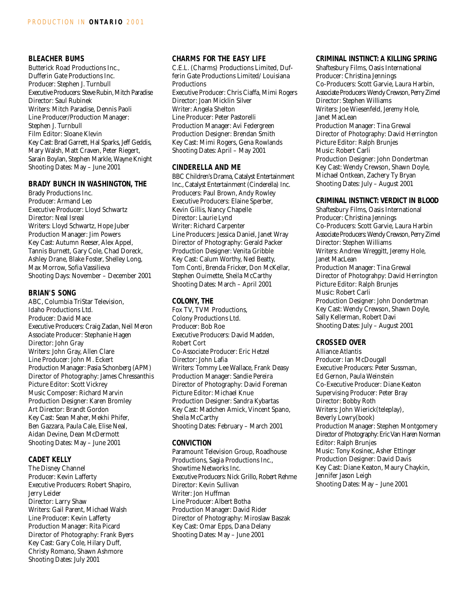## **BLEACHER BUMS**

Butterick Road Productions Inc., Dufferin Gate Productions Inc. Producer: Stephen J. Turnbull Executive Producers: Steve Rubin, Mitch Paradise Director: Saul Rubinek Writers: Mitch Paradise, Dennis Paoli Line Producer/Production Manager: Stephen J. Turnbull Film Editor: Sloane Klevin Key Cast: Brad Garrett, Hal Sparks, Jeff Geddis, Mary Walsh, Matt Craven, Peter Riegert, Sarain Boylan, Stephen Markle, Wayne Knight Shooting Dates: May – June 2001

## **BRADY BUNCH IN WASHINGTON, THE**

Brady Productions Inc. Producer: Armand Leo Executive Producer: Lloyd Schwartz Director: Neal Isreal Writers: Lloyd Schwartz, Hope Juber Production Manager: Jim Powers Key Cast: Autumn Reeser, Alex Appel, Tannis Burnett, Gary Cole, Chad Doreck, Ashley Drane, Blake Foster, Shelley Long, Max Morrow, Sofia Vassilieva Shooting Days: November – December 2001

## **BRIAN'S SONG**

ABC, Columbia TriStar Television, Idaho Productions Ltd. Producer: David Mace Executive Producers: Craig Zadan, Neil Meron Associate Producer: Stephanie Hagen Director: John Gray Writers: John Gray, Allen Clare Line Producer: John M. Eckert Production Manager: Pasia Schonberg (APM) Director of Photography: James Chressanthis Picture Editor: Scott Vickrey Music Composer: Richard Marvin Production Designer: Karen Bromley Art Director: Brandt Gordon Key Cast: Sean Maher, Mekhi Phifer, Ben Gazzara, Paula Cale, Elise Neal, Aidan Devine, Dean McDermott Shooting Dates: May – June 2001

## **CADET KELLY**

The Disney Channel Producer: Kevin Lafferty Executive Producers: Robert Shapiro, Jerry Leider Director: Larry Shaw Writers: Gail Parent, Michael Walsh Line Producer: Kevin Lafferty Production Manager: Rita Picard Director of Photography: Frank Byers Key Cast: Gary Cole, Hilary Duff, Christy Romano, Shawn Ashmore Shooting Dates: July 2001

#### **CHARMS FOR THE EASY LIFE**

C.E.L. (Charms) Productions Limited, Dufferin Gate Productions Limited/ Louisiana **Productions** Executive Producer: Chris Ciaffa, Mimi Rogers Director: Joan Micklin Silver Writer: Angela Shelton Line Producer: Peter Pastorelli Production Manager: Avi Federgreen Production Designer: Brendan Smith Key Cast: Mimi Rogers, Gena Rowlands Shooting Dates: April – May 2001

## **CINDERELLA AND ME**

BBC Children's Drama, Catalyst Entertainment Inc., Catalyst Entertainment (Cinderella) Inc. Producers: Paul Brown, Andy Rowley Executive Producers: Elaine Sperber, Kevin Gillis, Nancy Chapelle Director: Laurie Lynd Writer: Richard Carpenter Line Producers: Jessica Daniel, Janet Wray Director of Photography: Gerald Packer Production Designer: Venita Gribble Key Cast: Calum Worthy, Ned Beatty, Tom Conti, Brenda Fricker, Don McKellar, Stephen Ouimette, Sheila McCarthy Shooting Dates: March – April 2001

## **COLONY, THE**

Fox TV, TVM Productions, Colony Productions Ltd. Producer: Bob Roe Executive Producers: David Madden, Robert Cort Co-Associate Producer: Eric Hetzel Director: John Lafia Writers: Tommy Lee Wallace, Frank Deasy Production Manager: Sandie Pereira Director of Photography: David Foreman Picture Editor: Michael Knue Production Designer: Sandra Kybartas Key Cast: Madchen Amick, Vincent Spano, Sheila McCarthy Shooting Dates: February – March 2001

## **CONVICTION**

Paramount Television Group, Roadhouse Productions, Sagia Productions Inc., Showtime Networks Inc. Executive Producers: Nick Grillo, Robert Rehme Director: Kevin Sullivan Writer: Jon Huffman Line Producer: Albert Botha Production Manager: David Rider Director of Photography: Miroslaw Baszak Key Cast: Omar Epps, Dana Delany Shooting Dates: May – June 2001

#### **CRIMINAL INSTINCT: A KILLING SPRING**

Shaftesbury Films, Oasis International Producer: Christina Jennings Co-Producers: Scott Garvie, Laura Harbin, Associate Producers: Wendy Crewson, Perry Zimel Director: Stephen Williams Writers: Joe Wiesenfeld, Jeremy Hole, Janet MacLean Production Manager: Tina Grewal Director of Photography: David Herrington Picture Editor: Ralph Brunjes Music: Robert Carli Production Designer: John Dondertman Key Cast: Wendy Crewson, Shawn Doyle, Michael Ontkean, Zachery Ty Bryan Shooting Dates: July – August 2001

#### **CRIMINAL INSTINCT: VERDICT IN BLOOD**

Shaftesbury Films, Oasis International Producer: Christina Jennings Co-Producers: Scott Garvie, Laura Harbin Associate Producers: Wendy Crewson, Perry Zimel Director: Stephen Williams Writers: Andrew Wreggitt, Jeremy Hole, Janet MacLean Production Manager: Tina Grewal Director of Photograhpy: David Herrington Picture Editor: Ralph Brunjes Music: Robert Carli Production Designer: John Dondertman Key Cast: Wendy Crewson, Shawn Doyle, Sally Kellerman, Robert Davi Shooting Dates: July – August 2001

## **CROSSED OVER**

Alliance Atlantis Producer: Ian McDougall Executive Producers: Peter Sussman, Ed Gernon, Paula Weinstein Co-Executive Producer: Diane Keaton Supervising Producer: Peter Bray Director: Bobby Roth Writers: John Wierick(teleplay), Beverly Lowry(book) Production Manager: Stephen Montgomery Director of Photography: Eric Van Haren Norman Editor: Ralph Brunjes Music: Tony Kosinec, Asher Ettinger Production Designer: David Davis Key Cast: Diane Keaton, Maury Chaykin, Jennifer Jason Leigh Shooting Dates: May – June 2001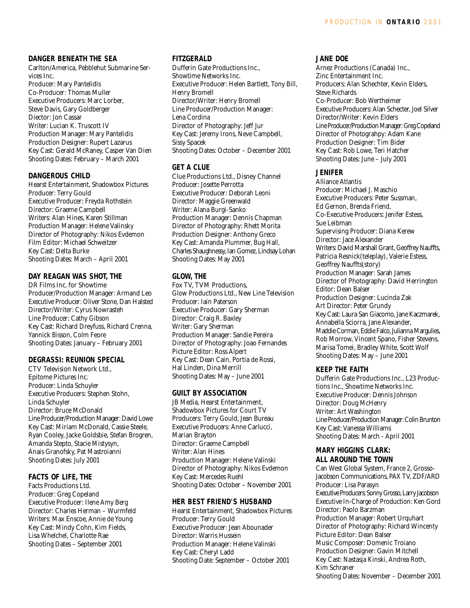## **DANGER BENEATH THE SEA**

Carlton/America, Pebblehut Submarine Services Inc. Producer: Mary Pantelidis Co-Producer: Thomas Muller Executive Producers: Marc Lorber, Steve Davis, Gary Goldberger Diector: Jon Cassar Writer: Lucian K. Truscott IV Production Manager: Mary Pantelidis Production Designer: Rupert Lazarus Key Cast: Gerald McRaney, Casper Van Dien Shooting Dates: February – March 2001

## **DANGEROUS CHILD**

Hearst Entertainment, Shadowbox Pictures Producer: Terry Gould Executive Producer: Freyda Rothstein Director: Graeme Campbell Writers: Alan Hines, Karen Stillman Production Manager: Helene Valinsky Director of Photography: Nikos Evdemon Film Editor: Michael Schweitzer Key Cast: Delta Burke Shooting Dates: March – April 2001

## **DAY REAGAN WAS SHOT, THE**

DR Films Inc. for Showtime Producer/Production Manager: Armand Leo Executive Producer: Oliver Stone, Dan Halsted Director/Writer: Cyrus Nowrasteh Line Producer: Cathy Gibson Key Cast: Richard Dreyfuss, Richard Crenna, Yannick Bisson, Colm Feore Shooting Dates: January – February 2001

## **DEGRASSI: REUNION SPECIAL**

CTV Television Network Ltd., Epitome Pictures Inc. Producer: Linda Schuyler Executive Producers: Stephen Stohn, Linda Schuyler Director: Bruce McDonald Line Producer/Production Manager: David Lowe Key Cast: Miriam McDonald, Cassie Steele, Ryan Cooley, Jacke Goldsbie, Stefan Brogren, Amanda Stepto, Stacie Mistysyn, Anais Granofsky, Pat Mastroianni Shooting Dates: July 2001

## **FACTS OF LIFE, THE**

Facts Productions Ltd. Producer: Greg Copeland Executive Producer: Ilene Amy Berg Director: Charles Herman – Wurmfeld Writers: Max Enscoe, Annie de Young Key Cast: Mindy Cohn, Kim Fields, Lisa Whelchel, Charlotte Rae Shooting Dates – September 2001

#### **FITZGERALD**

Dufferin Gate Productions Inc., Showtime Networks Inc. Executive Producer: Helen Bartlett, Tony Bill, Henry Bromell Director/Writer: Henry Bromell Line Producer/Production Manager: Lena Cordina Director of Photography: Jeff Jur Key Cast: Jeremy Irons, Neve Campbell, Sissy Spacek Shooting Dates: October – December 2001

#### **GET A CLUE**

Clue Productions Ltd., Disney Channel Producer: Josette Perrotta Executive Producer: Deborah Leoni Director: Maggie Greenwald Writer: Alana Burgi-Sanko Production Manager: Dennis Chapman Director of Photography: Rhett Morita Production Designer: Anthony Greco Key Cast: Amanda Plummer, Bug Hall, Charles Shaughnessy, Ian Gomez, Lindsay Lohan Shooting Dates: May 2001

## **GLOW, THE**

Fox TV, TVM Productions, Glow Productions Ltd., New Line Television Producer: Iain Paterson Executive Producer: Gary Sherman Director: Craig R. Baxley Writer: Gary Sherman Production Manager: Sandie Pereira Director of Photography: Joao Fernandes Picture Editor: Ross Alpert Key Cast: Dean Cain, Portia de Rossi, Hal Linden, Dina Merrill Shooting Dates: May – June 2001

## **GUILT BY ASSOCIATION**

JB Media, Hearst Entertainment, Shadowbox Pictures for Court TV Producers: Terry Gould, Jean Bureau Executive Producers: Anne Carlucci, Marian Brayton Director: Graeme Campbell Writer: Alan Hines Production Manager: Helene Valinski Director of Photography: Nikos Evdemon Key Cast: Mercedes Ruehl Shooting Dates: October – November 2001

#### **HER BEST FRIEND'S HUSBAND**

Hearst Entertainment, Shadowbox Pictures Producer: Terry Gould Executive Producer: Jean Abounader Director: Warris Hussein Production Manager: Helene Valinski Key Cast: Cheryl Ladd Shooting Date: September – October 2001

#### **JANE DOE**

Arnez Productions (Canada) Inc., Zinc Entertainment Inc. Producers: Alan Schechter, Kevin Elders, Steve Richards Co-Producer: Bob Wertheimer Executive Producers: Alan Schecter, Joel Silver Director/Writer: Kevin Elders Line Producer/Production Manager: Greg Copeland Director of Photograhpy: Adam Kane Production Designer: Tim Bider Key Cast: Rob Lowe, Teri Hatcher Shooting Dates: June – July 2001

## **JENIFER**

Alliance Atlantis Producer: Michael J. Maschio Executive Producers: Peter Sussman, Ed Gernon, Brenda Friend, Co-Executive Producers: Jenifer Estess, Sue Leibman Supervising Producer: Diana Kerew Director: Jace Alexander Writers: David Marshall Grant, Geoffrey Nauffts, Patricia Resnick(teleplay), Valerie Estess, Geoffrey Nauffts(story) Production Manager: Sarah James Director of Photography: David Herrington Editor: Dean Balser Production Designer: Lucinda Zak Art Director: Peter Grundy Key Cast: Laura San Giacomo, Jane Kaczmarek, Annabella Sciorra, Jane Alexander, Maddie Corman, Eddie Falco, Julianna Margulies, Rob Morrow, Vincent Spano, Fisher Stevens, Marisa Tomei, Bradley White, Scott Wolf Shooting Dates: May – June 2001

## **KEEP THE FAITH**

Dufferin Gate Productions Inc., L23 Productions Inc., Showtime Networks Inc. Executive Producer: Dennis Johnson Director: Doug McHenry Writer: Art Washington Line Producer/Production Manager: Colin Brunton Key Cast: Vanessa Williams Shooting Dates: March - April 2001

#### **MARY HIGGINS CLARK: ALL AROUND THE TOWN**

Can West Global System, France 2, Grosso-Jacobson Communications, PAX TV, ZDF/ARD Producer: Lisa Parasyn Executive Producers: Sonny Grosso,Larry Jacobson Executive In-Charge of Production: Ken Gord Director: Paolo Barzman Production Manager: Robert Urquhart Director of Photography: Richard Wincenty Picture Editor: Dean Balser Music Composer: Domenic Troiano Production Designer: Gavin Mitchell Key Cast: Nastasja Kinski, Andrea Roth, Kim Schraner Shooting Dates: November – December 2001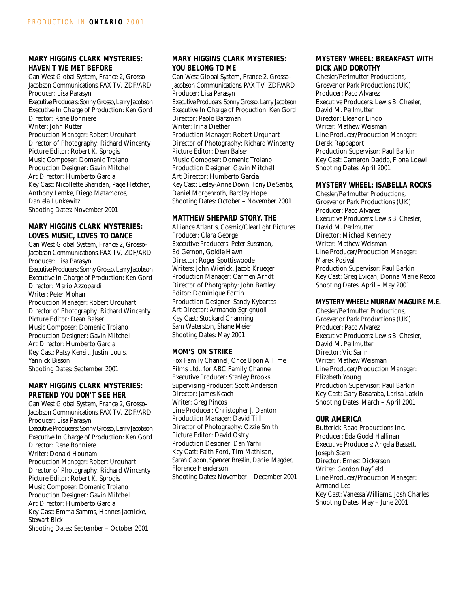## **MARY HIGGINS CLARK MYSTERIES: HAVEN'T WE MET BEFORE**

Can West Global System, France 2, Grosso-Jacobson Communications, PAX TV, ZDF/ARD Producer: Lisa Parasyn Executive Producers: Sonny Grosso, Larry Jacobson Executive In Charge of Production: Ken Gord Director: Rene Bonniere Writer: John Rutter Production Manager: Robert Urquhart Director of Photography: Richard Wincenty Picture Editor: Robert K. Sprogis Music Composer: Domenic Troiano Production Designer: Gavin Mitchell Art Director: Humberto Garcia Key Cast: Nicollette Sheridan, Page Fletcher, Anthony Lemke, Diego Matamoros, Daniela Lunkewitz Shooting Dates: November 2001

## **MARY HIGGINS CLARK MYSTERIES: LOVES MUSIC, LOVES TO DANCE**

Can West Global System, France 2, Grosso-Jacobson Communications, PAX TV, ZDF/ARD Producer: Lisa Parasyn Executive Producers: Sonny Grosso, Larry Jacobson Executive In Charge of Production: Ken Gord Director: Mario Azzopardi Writer: Peter Mohan Production Manager: Robert Urquhart Director of Photography: Richard Wincenty Picture Editor: Dean Balser Music Composer: Domenic Troiano Production Designer: Gavin Mitchell Art Director: Humberto Garcia Key Cast: Patsy Kensit, Justin Louis, Yannick Bisson Shooting Dates: September 2001

## **MARY HIGGINS CLARK MYSTERIES: PRETEND YOU DON'T SEE HER**

Can West Global System, France 2, Grosso-Jacobson Communications, PAX TV, ZDF/ARD Producer: Lisa Parasyn Executive Producers: Sonny Grosso, Larry Jacobson Executive In Charge of Production: Ken Gord Director: Rene Bonniere Writer: Donald Hounam Production Manager: Robert Urquhart Director of Photography: Richard Wincenty Picture Editor: Robert K. Sprogis Music Composer: Domenic Troiano Production Designer: Gavin Mitchell Art Director: Humberto Garcia Key Cast: Emma Samms, Hannes Jaenicke, Stewart Bick

Shooting Dates: September – October 2001

## **MARY HIGGINS CLARK MYSTERIES: YOU BELONG TO ME**

Can West Global System, France 2, Grosso-Jacobson Communications, PAX TV, ZDF/ARD Producer: Lisa Parasyn Executive Producers: Sonny Grosso, Larry Jacobson Executive In Charge of Production: Ken Gord Director: Paolo Barzman Writer: Irina Diether Production Manager: Robert Urquhart Director of Photography: Richard Wincenty Picture Editor: Dean Balser Music Composer: Domenic Troiano Production Designer: Gavin Mitchell Art Director: Humberto Garcia Key Cast: Lesley-Anne Down, Tony De Santis, Daniel Morgenroth, Barclay Hope Shooting Dates: October – November 2001

#### **MATTHEW SHEPARD STORY, THE**

Alliance Atlantis, Cosmic/Clearlight Pictures Producer: Clara George Executive Producers: Peter Sussman, Ed Gernon, Goldie Hawn Director: Roger Spottiswoode Writers: John Wierick, Jacob Krueger Production Manager: Carmen Arndt Director of Photgraphy: John Bartley Editor: Dominique Fortin Production Designer: Sandy Kybartas Art Director: Armando Sgrignuoli Key Cast: Stockard Channing, Sam Waterston, Shane Meier Shooting Dates: May 2001

#### **MOM'S ON STRIKE**

Fox Family Channel, Once Upon A Time Films Ltd., for ABC Family Channel Executive Producer: Stanley Brooks Supervising Producer: Scott Anderson Director: James Keach Writer: Greg Pincos Line Producer: Christopher J. Danton Production Manager: David Till Director of Photography: Ozzie Smith Picture Editor: David Ostry Production Designer: Dan Yarhi Key Cast: Faith Ford, Tim Mathison, Sarah Gadon, Spencer Breslin, Daniel Magder, Florence Henderson Shooting Dates: November – December 2001

## **MYSTERY WHEEL: BREAKFAST WITH DICK AND DOROTHY**

Chesler/Perlmutter Productions, Grosvenor Park Productions (UK) Producer: Paco Alvarez Executive Producers: Lewis B. Chesler, David M. Perlmutter Director: Eleanor Lindo Writer: Mathew Weisman Line Producer/Production Manager: Derek Rappaport Production Supervisor: Paul Barkin Key Cast: Cameron Daddo, Fiona Loewi Shooting Dates: April 2001

#### **MYSTERY WHEEL: ISABELLA ROCKS**

Chesler/Perlmutter Productions, Grosvenor Park Productions (UK) Producer: Paco Alvarez Executive Producers: Lewis B. Chesler, David M. Perlmutter Director: Michael Kennedy Writer: Mathew Weisman Line Producer/Production Manager: Marek Posival Production Supervisor: Paul Barkin Key Cast: Greg Evigan, Donna Marie Recco Shooting Dates: April – May 2001

#### **MYSTERY WHEEL: MURRAY MAGUIRE M.E.**

Chesler/Perlmutter Productions, Grosvenor Park Productions (UK) Producer: Paco Alvarez Executive Producers: Lewis B. Chesler, David M. Perlmutter Director: Vic Sarin Writer: Mathew Weisman Line Producer/Production Manager: Elizabeth Young Production Supervisor: Paul Barkin Key Cast: Gary Basaraba, Larisa Laskin Shooting Dates: March – April 2001

#### **OUR AMERICA**

Butterick Road Productions Inc. Producer: Eda Godel Hallinan Executive Producers: Angela Bassett, Joseph Stern Director: Ernest Dickerson Writer: Gordon Rayfield Line Producer/Production Manager: Armand Leo Key Cast: Vanessa Williams, Josh Charles Shooting Dates: May – June 2001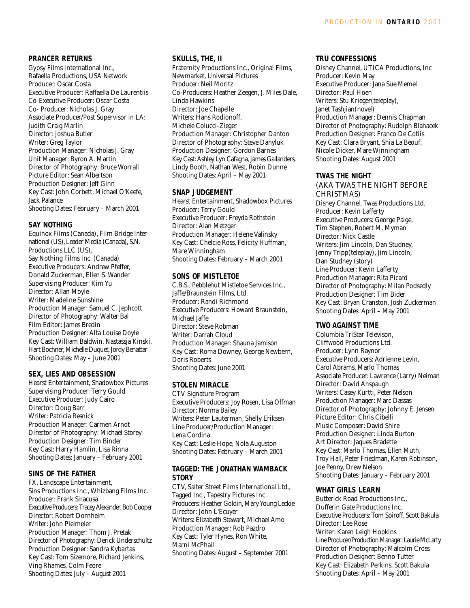## **PRANCER RETURNS**

Gypsy Films International Inc., Rafaella Productions, USA Network Producer: Oscar Costa Executive Producer: Raffaella De Laurentiis Co-Executive Producer: Oscar Costa Co- Producer: Nicholas J. Gray Associate Producer/Post Supervisor in LA: Judith Craig Marlin Director: Joshua Butler Writer: Greg Taylor Production Manager: Nicholas J. Gray Unit Manager: Byron A. Martin Director of Photography: Bruce Worrall Picture Editor: Sean Albertson Production Designer: Jeff Ginn Key Cast: John Corbett, Michael O'Keefe, Jack Palance Shooting Dates: February – March 2001

## **SAY NOTHING**

Equinox Films (Canada), Film Bridge International (US), Leader Media (Canada), S.N. Productions LLC (US), Say Nothing Films Inc. (Canada) Executive Producers: Andrew Pfeffer, Donald Zuckerman, Ellen S. Wander Supervising Producer: Kim Yu Director: Allan Moyle Writer: Madeline Sunshine Production Manager: Samuel C. Jephcott Director of Photography: Walter Bal Film Editor: James Bredin Production Designer: Alta Louise Doyle Key Cast: William Baldwin, Nastassja Kinski, Hart Bochner, Michelle Duquet, Jordy Benattar Shooting Dates: May – June 2001

## **SEX, LIES AND OBSESSION**

Hearst Entertainment, Shadowbox Pictures Supervising Producer: Terry Gould Executive Producer: Judy Cairo Director: Doug Barr Writer: Patricia Resnick Production Manager: Carmen Arndt Director of Photography: Michael Storey Production Designer: Tim Binder Key Cast: Harry Hamlin, Lisa Rinna Shooting Dates: January – February 2001

## **SINS OF THE FATHER**

FX, Landscape Entertainment, Sins Productions Inc., Whizbang Films Inc. Producer: Frank Siracusa Executive Producers: Tracey Alexander, Bob Cooper Director: Robert Dornhelm Writer: John Pielmeier Production Manager: Thom J. Pretak Director of Photography: Derick Underschultz Production Designer: Sandra Kybartas Key Cast: Tom Sizemore, Richard Jenkins, Ving Rhames, Colm Feore Shooting Dates: July – August 2001

## **SKULLS, THE, II**

Fraternity Productions Inc., Original Films, Newmarket, Universal Pictures Producer: Neil Moritz Co-Producers: Heather Zeegen, J. Miles Dale, Linda Hawkins Director: Joe Chapelle Writers: Hans Rodionoff, Michele Colucci-Zieger Production Manager: Christopher Danton Director of Photography: Steve Danyluk Production Designer: Gordon Barnes Key Cast: Ashley Lyn Cafagna, James Gallanders, Lindy Booth, Nathan West, Robin Dunne Shooting Dates: April – May 2001

## **SNAP JUDGEMENT**

Hearst Entertainment, Shadowbox Pictures Producer: Terry Gould Executive Producer: Freyda Rothstein Director: Alan Metzger Production Manager: Helene Valinsky Key Cast: Chelcie Ross, Felicity Huffman, Mare Winningham Shooting Dates: February – March 2001

## **SONS OF MISTLETOE**

C.B.S., Pebblehut Mistletoe Services Inc., Jaffe/Braunstein Films, Ltd. Producer: Randi Richmond Executive Producers: Howard Braunstein, Michael Jaffe Director: Steve Robman Writer: Darrah Cloud Production Manager: Shauna Jamison Key Cast: Roma Downey, George Newbern, Doris Roberts Shooting Dates: June 2001

## **STOLEN MIRACLE**

CTV Signature Program Executive Producers: Joy Rosen, Lisa Olfman Director: Norma Bailey Writers: Peter Lauterman, Shelly Eriksen Line Producer/Production Manager: Lena Cordina Key Cast: Leslie Hope, Nola Auguston Shooting Dates: February – March 2001

## **TAGGED: THE JONATHAN WAMBACK STORY**

CTV, Salter Street Films International Ltd., Tagged Inc., Tapestry Pictures Inc. Producers: Heather Goldin, Mary Young Leckie Director: John L'Ecuyer Writers: Elizabeth Stewart, Michael Amo Production Manager: Rob Pazdro Key Cast: Tyler Hynes, Ron White, Marni McPhail Shooting Dates: August – September 2001

## **TRU CONFESSIONS**

Disney Channel, UTICA Productions, Inc Producer: Kevin May Executive Producer: Jana Sue Memel Director: Paul Hoen Writers: Stu Krieger(teleplay), Janet Tashjian(novel) Production Manager: Dennis Chapman Director of Photography: Rudolph Blahacek Production Designer: Franco De Cotiis Key Cast: Clara Bryant, Shia La Beouf, Nicole Dicker, Mare Winningham Shooting Dates: August 2001

## **TWAS THE NIGHT**

(AKA TWAS THE NIGHT BEFORE CHRISTMAS) Disney Channel, Twas Productions Ltd. Producer: Kevin Lafferty Executive Producers: George Paige, Tim Stephen, Robert M. Myman Director: Nick Castle Writers: Jim Lincoln, Dan Studney, Jenny Tripp(teleplay), Jim Lincoln, Dan Studney (story) Line Producer: Kevin Lafferty Production Manager: Rita Picard Director of Photography: Milan Podsedly Production Designer: Tim Bider Key Cast: Bryan Cranston, Josh Zuckerman Shooting Dates: April – May 2001

## **TWO AGAINST TIME**

Columbia TriStar Televison, Cliffwood Productions Ltd. Producer: Lynn Raynor Executive Producers: Adrienne Levin, Carol Abrams, Marlo Thomas Associate Producer: Lawrence (Larry) Neiman Director: David Anspaugh Writers: Casey Kurtti, Peter Nelson Production Manager: Marc Dassas Director of Photography: Johnny E. Jensen Picture Editor: Chris Cibelli Music Composer: David Shire Production Designer: Linda Burton Art Director: Jaques Bradette Key Cast: Marlo Thomas, Ellen Muth, Troy Hall, Peter Friedman, Karen Robinson, Joe Penny, Drew Nelson Shooting Dates: January – February 2001

## **WHAT GIRLS LEARN**

Butterick Road Productions Inc., Dufferin Gate Productions Inc. Executive Producers: Tom Spiroff, Scott Bakula Director: Lee Rose Writer: Karen Leigh Hopkins Line Producer/Production Manager: Laurie McLarty Director of Photography: Malcolm Cross Production Designer: Benno Tutter Key Cast: Elizabeth Perkins, Scott Bakula Shooting Dates: April – May 2001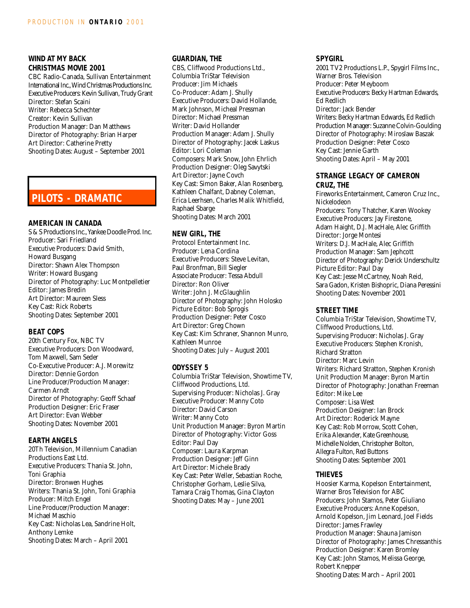## **WIND AT MY BACK CHRISTMAS MOVIE 2001**

CBC Radio-Canada, Sullivan Entertainment International Inc.,Wind Christmas Productions Inc. Executive Producers: Kevin Sullivan, Trudy Grant Director: Stefan Scaini Writer: Rebecca Schechter Creator: Kevin Sullivan Production Manager: Dan Matthews Director of Photography: Brian Harper Art Director: Catherine Pretty Shooting Dates: August – September 2001

## **PILOTS - DRAMATIC**

#### **AMERICAN IN CANADA**

S & S Productions Inc., Yankee Doodle Prod. Inc. Producer: Sari Friedland Executive Producers: David Smith, Howard Busgang Director: Shawn Alex Thompson Writer: Howard Busgang Director of Photography: Luc Montpelletier Editor: James Bredin Art Director: Maureen Sless Key Cast: Rick Roberts Shooting Dates: September 2001

## **BEAT COPS**

20th Century Fox, NBC TV Executive Producers: Don Woodward, Tom Maxwell, Sam Seder Co-Executive Producer: A.J. Morewitz Director: Dennie Gordon Line Producer/Production Manager: Carmen Arndt Director of Photography: Geoff Schaaf Production Designer: Eric Fraser Art Director: Evan Webber Shooting Dates: November 2001

## **EARTH ANGELS**

20Th Television, Millennium Canadian Productions East Ltd. Executive Producers: Thania St. John, Toni Graphia Director: Bronwen Hughes Writers: Thania St. John, Toni Graphia Producer: Mitch Engel Line Producer/Production Manager: Michael Maschio Key Cast: Nicholas Lea, Sandrine Holt, Anthony Lemke Shooting Dates: March – April 2001

## **GUARDIAN, THE**

CBS, Cliffwood Productions Ltd., Columbia TriStar Television Producer: Jim Michaels Co-Producer: Adam J. Shully Executive Producers: David Hollande, Mark Johnson, Micheal Pressman Director: Michael Pressman Writer: David Hollander Production Manager: Adam J. Shully Director of Photography: Jacek Laskus Editor: Lori Coleman Composers: Mark Snow, John Ehrlich Production Designer: Oleg Savytski Art Director: Jayne Covch Key Cast: Simon Baker, Alan Rosenberg, Kathleen Chalfant, Dabney Coleman, Erica Leerhsen, Charles Malik Whitfield, Raphael Sbarge Shooting Dates: March 2001

## **NEW GIRL, THE**

Protocol Entertainment Inc. Producer: Lena Cordina Executive Producers: Steve Levitan, Paul Bronfman, Bill Siegler Associate Producer: Tessa Abdull Director: Ron Oliver Writer: John J. McGlaughlin Director of Photography: John Holosko Picture Editor: Bob Sprogis Production Designer: Peter Cosco Art Director: Greg Chown Key Cast: Kim Schraner, Shannon Munro, Kathleen Munroe Shooting Dates: July – August 2001

## **ODYSSEY 5**

Columbia TriStar Television, Showtime TV, Cliffwood Productions, Ltd. Supervising Producer: Nicholas J. Gray Executive Producer: Manny Coto Director: David Carson Writer: Manny Coto Unit Production Manager: Byron Martin Director of Photography: Victor Goss Editor: Paul Day Composer: Laura Karpman Production Designer: Jeff Ginn Art Director: Michele Brady Key Cast: Peter Weller, Sebastian Roche, Christopher Gorham, Leslie Silva, Tamara Craig Thomas, Gina Clayton Shooting Dates: May – June 2001

## **SPYGIRL**

2001 TV2 Productions L.P., Spygirl Films Inc., Warner Bros. Television Producer: Peter Meyboom Executive Producers: Becky Hartman Edwards, Ed Redlich Director: Jack Bender Writers: Becky Hartman Edwards, Ed Redlich Production Manager: Suzanne Colvin-Goulding Director of Photography: Miroslaw Baszak Production Designer: Peter Cosco Key Cast: Jennie Garth Shooting Dates: April – May 2001

#### **STRANGE LEGACY OF CAMERON CRUZ, THE**

Fireworks Entertainment, Cameron Cruz Inc., Nickelodeon Producers: Tony Thatcher, Karen Wookey Executive Producers: Jay Firestone, Adam Haight, D.J. MacHale, Alec Griffith Director: Jorge Montesi Writers: D.J. MacHale, Alec Griffith Production Manager: Sam Jephcott Director of Photography: Derick Underschultz Picture Editor: Paul Day Key Cast: Jesse McCartney, Noah Reid, Sara Gadon, Kristen Bishopric, Diana Peressini Shooting Dates: November 2001

## **STREET TIME**

Columbia TriStar Television, Showtime TV, Cliffwood Productions, Ltd. Supervising Producer: Nicholas J. Gray Executive Producers: Stephen Kronish, Richard Stratton Director: Marc Levin Writers: Richard Stratton, Stephen Kronish Unit Production Manager: Byron Martin Director of Photography: Jonathan Freeman Editor: Mike Lee Composer: Lisa West Production Designer: Ian Brock Art Director: Roderick Mayne Key Cast: Rob Morrow, Scott Cohen, Erika Alexander, Kate Greenhouse, Michelle Nolden, Christopher Bolton, Allegra Fulton, Red Buttons Shooting Dates: September 2001

## **THIEVES**

Hoosier Karma, Kopelson Entertainment, Warner Bros Television for ABC Producers: John Stamos, Peter Giuliano Executive Producers: Anne Kopelson, Arnold Kopelson, Jim Leonard, Joel Fields Director: James Frawley Production Manager: Shauna Jamison Director of Photography: James Chressanthis Production Designer: Karen Bromley Key Cast: John Stamos, Melissa George, Robert Knepper Shooting Dates: March – April 2001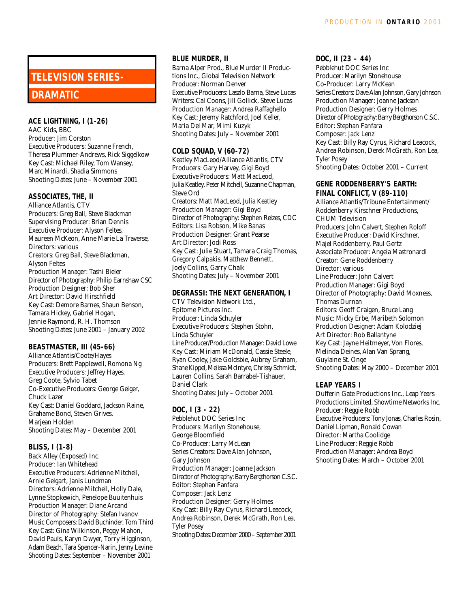# **TELEVISION SERIES-**

## **DRAMATIC**

## **ACE LIGHTNING, I (1-26)**

AAC Kids, BBC Producer: Jim Corston Executive Producers: Suzanne French, Theresa Plummer-Andrews, Rick Siggelkow Key Cast: Michael Riley, Tom Wansey, Marc Minardi, Shadia Simmons Shooting Dates: June – November 2001

## **ASSOCIATES, THE, II**

Alliance Atlantis, CTV Producers: Greg Ball, Steve Blackman Supervising Producer: Brian Dennis Executive Producer: Alyson Feltes, Maureen McKeon, Anne Marie La Traverse, Directors: various Creators: Greg Ball, Steve Blackman, Alyson Feltes Production Manager: Tashi Bieler Director of Photography: Philip Earnshaw CSC Production Designer: Bob Sher Art Director: David Hirschfield Key Cast: Demore Barnes, Shaun Benson, Tamara Hickey, Gabriel Hogan, Jennie Raymond, R. H. Thomson Shooting Dates: June 2001 – January 2002

## **BEASTMASTER, III (45-66)**

Alliance Atlantis/Coote/Hayes Producers: Brett Papplewell, Romona Ng Executive Producers: Jeffrey Hayes, Greg Coote, Sylvio Tabet Co-Executive Producers: George Geiger, Chuck Lazer Key Cast: Daniel Goddard, Jackson Raine, Grahame Bond, Steven Grives, Marjean Holden Shooting Dates: May – December 2001

## **BLISS, I (1-8)**

Back Alley (Exposed) Inc. Producer: Ian Whitehead Executive Producers: Adrienne Mitchell, Arnie Gelgart, Janis Lundman Directors: Adrienne Mitchell, Holly Dale, Lynne Stopkewich, Penelope Buuitenhuis Production Manager: Diane Arcand Director of Photography: Stefan Ivanov Music Composers: David Buchinder, Tom Third Key Cast: Gina Wilkinson, Peggy Mahon, David Pauls, Karyn Dwyer, Torry Higginson, Adam Beach, Tara Spencer-Narin, Jenny Levine Shooting Dates: September – November 2001

## **BLUE MURDER, II**

Barna Alper Prod., Blue Murder II Productions Inc., Global Television Network Producer: Norman Denver Executive Producers: Laszlo Barna, Steve Lucas Writers: Cal Coons, Jill Gollick, Steve Lucas Production Manager: Andrea Raffaghello Key Cast: Jeremy Ratchford, Joel Keller, Maria Del Mar, Mimi Kuzyk Shooting Dates: July – November 2001

## **COLD SQUAD, V (60-72)**

Keatley MacLeod/Alliance Atlantis, CTV Producers: Gary Harvey, Gigi Boyd Executive Producers: Matt MacLeod, Julia Keatley, Peter Mitchell, Suzanne Chapman, Steve Ord Creators: Matt MacLeod, Julia Keatley Production Manager: Gigi Boyd Director of Photography: Stephen Reizes, CDC Editors: Lisa Robson, Mike Banas Production Designer: Grant Pearse Art Director: Jodi Ross Key Cast: Julie Stuart, Tamara Craig Thomas, Gregory Calpakis, Matthew Bennett, Joely Collins, Garry Chalk Shooting Dates: July – November 2001

## **DEGRASSI: THE NEXT GENERATION, I**

CTV Television Network Ltd., Epitome Pictures Inc. Producer: Linda Schuyler Executive Producers: Stephen Stohn, Linda Schuyler Line Producer/Production Manager: David Lowe Key Cast: Miriam McDonald, Cassie Steele, Ryan Cooley, Jake Goldsbie, Aubrey Graham, Shane Kippel, Melissa McIntyre, Chrissy Schmidt, Lauren Collins, Sarah Barrabel-Tishauer, Daniel Clark Shooting Dates: July – October 2001

## **DOC, I (3 - 22)**

Pebblehut DOC Series Inc Producers: Marilyn Stonehouse, George Bloomfield Co-Producer: Larry McLean Series Creators: Dave Alan Johnson, Gary Johnson Production Manager: Joanne Jackson Director of Photography: Barry Bergthorson C.S.C. Editor: Stephan Fanfara Composer: Jack Lenz Production Designer: Gerry Holmes Key Cast: Billy Ray Cyrus, Richard Leacock, Andrea Robinson, Derek McGrath, Ron Lea, Tyler Posey Shooting Dates: December 2000 – September 2001

## **DOC, II (23 – 44)**

Pebblehut DOC Series Inc Producer: Marilyn Stonehouse Co-Producer: Larry McKean Series Creators: Dave Alan Johnson, Gary Johnson Production Manager: Joanne Jackson Production Designer: Gerry Holmes Director of Photography: Barry Bergthorson C.S.C. Editor: Stephan Fanfara Composer: Jack Lenz Key Cast: Billy Ray Cyrus, Richard Leacock, Andrea Robinson, Derek McGrath, Ron Lea, Tyler Posey Shooting Dates: October 2001 – Current

## **GENE RODDENBERRY'S EARTH: FINAL CONFLICT, V (89-110)**

Alliance Atlantis/Tribune Entertainment/ Roddenberry Kirschner Productions, CHUM Television Producers: John Calvert, Stephen Roloff Executive Producer: David Kirschner, Majel Roddenberry, Paul Gertz Associate Producer: Angela Mastronardi Creator: Gene Roddenberry Director: various Line Producer: John Calvert Production Manager: Gigi Boyd Director of Photography: David Moxness, Thomas Durnan Editors: Geoff Craigen, Bruce Lang Music: Micky Erbe, Maribeth Solomon Production Designer: Adam Kolodziej Art Director: Rob Ballantyne Key Cast: Jayne Heitmeyer, Von Flores, Melinda Deines, Alan Van Sprang, Guylaine St. Onge

Shooting Dates: May 2000 – December 2001

## **LEAP YEARS I**

Dufferin Gate Productions Inc., Leap Years Productions Limited, Showtime Networks Inc. Producer: Reggie Robb Executive Producers: Tony Jonas, Charles Rosin, Daniel Lipman, Ronald Cowan Director: Martha Coolidge Line Producer: Reggie Robb Production Manager: Andrea Boyd Shooting Dates: March – October 2001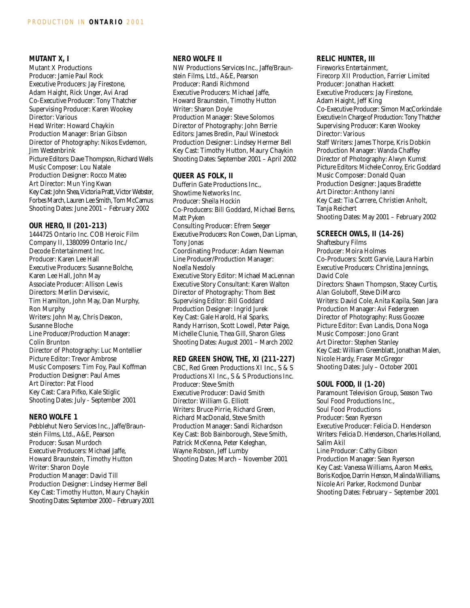## **MUTANT X, I**

Mutant X Productions Producer: Jamie Paul Rock Executive Producers: Jay Firestone, Adam Haight, Rick Unger, Avi Arad Co-Executive Producer: Tony Thatcher Supervising Producer: Karen Wookey Director: Various Head Writer: Howard Chaykin Production Manager: Brian Gibson Director of Photography: Nikos Evdemon, Jim Westenbrink Picture Editors: Dave Thompson, Richard Wells Music Composer: Lou Natale Production Designer: Rocco Mateo Art Director: Mun Ying Kwan Key Cast: John Shea, Victoria Pratt, Victor Webster, Forbes March, Lauren Lee Smith, Tom McCamus Shooting Dates: June 2001 – February 2002

## **OUR HERO, II (201-213)**

1444725 Ontario Inc. COB Heroic Film Company II, 1380099 Ontario Inc./ Decode Entertainment Inc. Producer: Karen Lee Hall Executive Producers: Susanne Bolche, Karen Lee Hall, John May Associate Producer: Allison Lewis Directors: Merlin Dervisevic, Tim Hamilton, John May, Dan Murphy, Ron Murphy Writers: John May, Chris Deacon, Susanne Bloche Line Producer/Production Manager: Colin Brunton Director of Photography: Luc Montellier Picture Editor: Trevor Ambrose Music Composers: Tim Foy, Paul Koffman Production Designer: Paul Ames Art Director: Pat Flood Key Cast: Cara Pifko, Kale Stiglic Shooting Dates: July - September 2001

## **NERO WOLFE 1**

Pebblehut Nero Services Inc., Jaffe/Braunstein Films, Ltd., A&E, Pearson Producer: Susan Murdoch Executive Producers: Michael Jaffe, Howard Braunstein, Timothy Hutton Writer: Sharon Doyle Production Manager: David Till Production Designer: Lindsey Hermer Bell Key Cast: Timothy Hutton, Maury Chaykin Shooting Dates: September 2000 – February 2001

## **NERO WOLFE II**

NW Productions Services Inc., Jaffe/Braunstein Films, Ltd., A&E, Pearson Producer: Randi Richmond Executive Producers: Michael Jaffe, Howard Braunstein, Timothy Hutton Writer: Sharon Doyle Production Manager: Steve Solomos Director of Photography: John Berrie Editors: James Bredin, Paul Winestock Production Designer: Lindsey Hermer Bell Key Cast: Timothy Hutton, Maury Chaykin Shooting Dates: September 2001 – April 2002

#### **QUEER AS FOLK, II**

Dufferin Gate Productions Inc., Showtime Networks Inc. Producer: Sheila Hockin Co-Producers: Bill Goddard, Michael Berns, Matt Pyken Consulting Producer: Efrem Seeger Executive Producers: Ron Cowen, Dan Lipman, Tony Jonas Coordinating Producer: Adam Newman Line Producer/Production Manager: Noella Nesdoly Executive Story Editor: Michael MacLennan Executive Story Consultant: Karen Walton Director of Photography: Thom Best Supervising Editor: Bill Goddard Production Designer: Ingrid Jurek Key Cast: Gale Harold, Hal Sparks, Randy Harrison, Scott Lowell, Peter Paige, Michelle Clunie, Thea Gill, Sharon Gless Shooting Dates: August 2001 – March 2002

#### **RED GREEN SHOW, THE, XI (211-227)**

CBC, Red Green Productions XI Inc., S & S Productions XI Inc., S & S Productions Inc. Producer: Steve Smith Executive Producer: David Smith Director: William G. Elliott Writers: Bruce Pirrie, Richard Green, Richard MacDonald, Steve Smith Production Manager: Sandi Richardson Key Cast: Bob Bainborough, Steve Smith, Patrick McKenna, Peter Keleghan, Wayne Robson, Jeff Lumby Shooting Dates: March – November 2001

## **RELIC HUNTER, III**

Fireworks Entertainment, Firecorp XII Production, Farrier Limited Producer: Jonathan Hackett Executive Producers: Jay Firestone, Adam Haight, Jeff King Co-Executive Producer: Simon MacCorkindale Executive In Charge of Production: Tony Thatcher Supervising Producer: Karen Wookey Director: Various Staff Writers: James Thorpe, Kris Dobkin Production Manager: Wanda Chaffey Director of Photography: Alwyn Kumst Picture Editors: Michele Conroy, Eric Goddard Music Composer: Donald Quan Production Designer: Jaques Bradette Art Director: Anthony Ianni Key Cast: Tia Carrere, Christien Anholt, Tanja Reichert Shooting Dates: May 2001 – February 2002

## **SCREECH OWLS, II (14-26)**

Shaftesbury Films Producer: Moira Holmes Co-Producers: Scott Garvie, Laura Harbin Executive Producers: Christina Jennings, David Cole Directors: Shawn Thompson, Stacey Curtis, Alan Goluboff, Steve DiMarco Writers: David Cole, Anita Kapila, Sean Jara Production Manager: Avi Federgreen Director of Photography: Russ Goozee Picture Editor: Evan Landis, Dona Noga Music Composer: Jono Grant Art Director: Stephen Stanley Key Cast: William Greenblatt, Jonathan Malen, Nicole Hardy, Fraser McGregor Shooting Dates: July – October 2001

#### **SOUL FOOD, II (1-20)**

Paramount Television Group, Season Two Soul Food Productions Inc., Soul Food Productions Producer: Sean Ryerson Executive Producer: Felicia D. Henderson Writers: Felicia D. Henderson, Charles Holland, Salim Akil Line Producer: Cathy Gibson Production Manager: Sean Ryerson Key Cast: Vanessa Williams, Aaron Meeks, Boris Kodjoe, Darrin Henson, Malinda Williams, Nicole Ari Parker, Rockmond Dunbar Shooting Dates: February – September 2001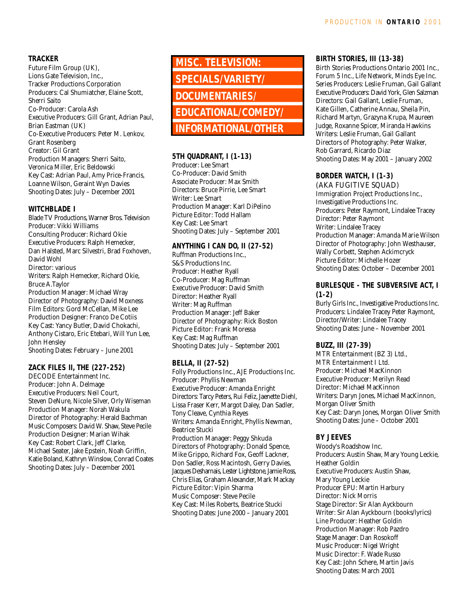## **TRACKER**

Future Film Group (UK), Lions Gate Television, Inc., Tracker Productions Corporation Producers: Cal Shumiatcher, Elaine Scott, Sherri Saito Co-Producer: Carola Ash Executive Producers: Gill Grant, Adrian Paul, Brian Eastman (UK) Co-Executive Producers: Peter M. Lenkov, Grant Rosenberg Creator: Gil Grant Production Managers: Sherri Saito, Veronica Miller, Eric Beldowski Key Cast: Adrian Paul, Amy Price-Francis, Loanne Wilson, Geraint Wyn Davies Shooting Dates: July – December 2001

## **WITCHBLADE I**

Blade TV Productions, Warner Bros. Television Producer: Vikki Williams Consulting Producer: Richard Okie Executive Producers: Ralph Hemecker, Dan Halsted, Marc Silvestri, Brad Foxhoven, David Wohl Director: various Writers: Ralph Hemecker, Richard Okie, Bruce A.Taylor Production Manager: Michael Wray Director of Photography: David Moxness Film Editors: Gord McCellan, Mike Lee Production Designer: Franco De Cotiis Key Cast: Yancy Butler, David Chokachi, Anthony Cistaro, Eric Etebari, Will Yun Lee, John Hensley Shooting Dates: February – June 2001

**ZACK FILES II, THE (227-252)**

DECODE Entertainment Inc. Producer: John A. Delmage Executive Producers: Neil Court, Steven DeNure, Nicole Silver, Orly Wiseman Production Manager: Norah Wakula Director of Photography: Herald Bachman Music Composers: David W. Shaw, Steve Pecile Production Designer: Marian Wihak Key Cast: Robert Clark, Jeff Clarke, Michael Seater, Jake Epstein, Noah Griffin, Katie Boland, Kathryn Winslow, Conrad Coates Shooting Dates: July – December 2001

**MISC. TELEVISION: SPECIALS/VARIETY/ DOCUMENTARIES/ EDUCATIONAL/COMEDY/ INFORMATIONAL/OTHER**

## **5TH QUADRANT, I (1-13)**

Producer: Lee Smart Co-Producer: David Smith Associate Producer: Max Smith Directors: Bruce Pirrie, Lee Smart Writer: Lee Smart Production Manager: Karl DiPelino Picture Editor: Todd Hallam Key Cast: Lee Smart Shooting Dates: July – September 2001

## **ANYTHING I CAN DO, II (27-52)**

Ruffman Productions Inc., S&S Productions Inc. Producer: Heather Ryall Co-Producer: Mag Ruffman Executive Producer: David Smith Director: Heather Ryall Writer: Mag Ruffman Production Manager: Jeff Baker Director of Photography: Rick Boston Picture Editor: Frank Moressa Key Cast: Mag Ruffman Shooting Dates: July – September 2001

## **BELLA, II (27-52)**

Folly Productions Inc., AJE Productions Inc. Producer: Phyllis Newman Executive Producer: Amanda Enright Directors: Tarcy Peters, Rui Feliz, Jaenette Diehl, Lissa Fraser Kerr, Margot Daley, Dan Sadler, Tony Cleave, Cynthia Reyes Writers: Amanda Enright, Phyllis Newman, Beatrice Stucki Production Manager: Peggy Shkuda Directors of Photography: Donald Spence, Mike Grippo, Richard Fox, Geoff Lackner, Don Sadler, Ross Macintosh, Gerry Davies, Jacques Desharnais, Lester Lightstone, Jamie Ross, Chris Elias, Graham Alexander, Mark Mackay Picture Editor: Vipin Sharma Music Composer: Steve Pecile Key Cast: Miles Roberts, Beatrice Stucki Shooting Dates: June 2000 – January 2001

## **BIRTH STORIES, III (13-38)**

Birth Stories Productions Ontario 2001 Inc., Forum 5 Inc., Life Network, Minds Eye Inc. Series Producers: Leslie Fruman, Gail Gallant Executive Producers: David York, Glen Salzman Directors: Gail Gallant, Leslie Fruman, Kate Gillen, Catherine Annau, Sheila Pin, Richard Martyn, Grazyna Krupa, Maureen Judge, Roxanne Spicer, Miranda Hawkins Writers: Leslie Fruman, Gail Gallant Directors of Photography: Peter Walker, Rob Garrard, Ricardo Diaz Shooting Dates: May 2001 – January 2002

## **BORDER WATCH, I (1-3)**

(AKA FUGITIVE SQUAD) Immigration Project Productions Inc., Investigative Productions Inc. Producers: Peter Raymont, Lindalee Tracey Director: Peter Raymont Writer: Lindalee Tracey Production Manager: Amanda Marie Wilson Director of Photography: John Westhauser, Wally Corbett, Stephen Ackimcryck Picture Editor: Michelle Hozer Shooting Dates: October – December 2001

## **BURLESQUE - THE SUBVERSIVE ACT, I (1-2)**

Burly Girls Inc., Investigative Productions Inc. Producers: Lindalee Tracey Peter Raymont, Director/Writer: Lindalee Tracey Shooting Dates: June – November 2001

## **BUZZ, III (27-39)**

MTR Entertainment (BZ 3) Ltd., MTR Entertainment I Ltd. Producer: Michael MacKinnon Executive Producer: Merilyn Read Director: Michael MacKinnon Writers: Daryn Jones, Michael MacKinnon, Morgan Oliver Smith Key Cast: Daryn Jones, Morgan Oliver Smith Shooting Dates: June – October 2001

## **BY JEEVES**

Woody's Roadshow Inc. Producers: Austin Shaw, Mary Young Leckie, Heather Goldin Executive Producers: Austin Shaw, Mary Young Leckie Producer EPU: Martin Harbury Director: Nick Morris Stage Director: Sir Alan Ayckbourn Writer: Sir Alan Ayckbourn (books/lyrics) Line Producer: Heather Goldin Production Manager: Rob Pazdro Stage Manager: Dan Rosokoff Music Producer: Nigel Wright Music Director: F. Wade Russo Key Cast: John Schere, Martin Javis Shooting Dates: March 2001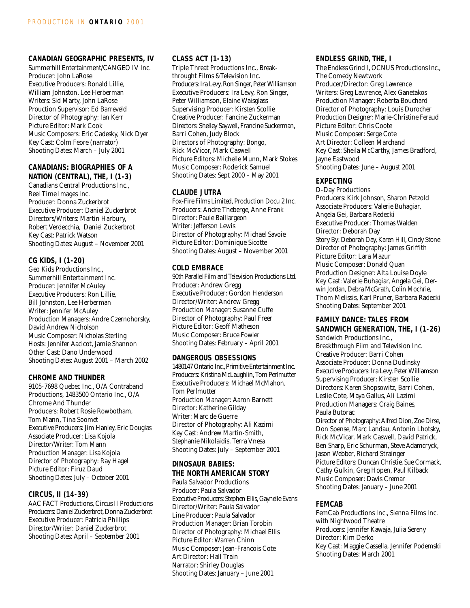## **CANADIAN GEOGRAPHIC PRESENTS, IV**

Summerhill Entertainment/CANGEO IV Inc. Producer: John LaRose Executive Producers: Ronald Lillie, William Johnston, Lee Herberman Writers: Sid Marty, John LaRose Prouction Supervisor: Ed Barreveld Director of Photography: Ian Kerr Picture Editor: Mark Cook Music Composers: Eric Cadesky, Nick Dyer Key Cast: Colm Feore (narrator) Shooting Dates: March – July 2001

## **CANADIANS: BIOGRAPHIES OF A NATION (CENTRAL), THE, I (1-3)**

Canadians Central Productions Inc., Reel Time Images Inc. Producer: Donna Zuckerbrot Executive Producer: Daniel Zuckerbrot Directors/Writers: Martin Harbury, Robert Verdecchia, Daniel Zuckerbrot Key Cast: Patrick Watson Shooting Dates: August – November 2001

## **CG KIDS, I (1-20)**

Geo Kids Productions Inc., Summerhill Entertainment Inc. Producer: Jennifer McAuley Executive Producers: Ron Lillie, Bill Johnston, Lee Herberman Writer: Jennifer McAuley Production Managers: Andre Czernohorsky, David Andrew Nicholson Music Composer: Nicholas Sterling Hosts: Jennifer Aacicot, Jamie Shannon Other Cast: Dano Underwood Shooting Dates: August 2001 – March 2002

## **CHROME AND THUNDER**

9105-7698 Quebec Inc., O/A Contraband Productions, 1483500 Ontario Inc., O/A Chrome And Thunder Producers: Robert Rosie Rowbotham, Tom Mann, Tina Soomet Executive Producers: Jim Hanley, Eric Douglas Associate Producer: Lisa Kojola Director/Writer: Tom Mann Production Manager: Lisa Kojola Director of Photography: Ray Hagel Picture Editor: Firuz Daud Shooting Dates: July – October 2001

## **CIRCUS, II (14-39)**

AAC FACT Productions, Circus II Productions Producers: Daniel Zuckerbrot, Donna Zuckerbrot Executive Producer: Patricia Phillips Director/Writer: Daniel Zuckerbrot Shooting Dates: April – September 2001

## **CLASS ACT (1-13)**

Triple Threat Productions Inc., Breakthrought Films &Television Inc. Producers: Ira Levy, Ron Singer, Peter Williamson Executive Producers: Ira Levy, Ron Singer, Peter Williamson, Elaine Waisglass Supervising Producer: Kirsten Scollie Creative Producer: Fancine Zuckerman Directors: Shelley Saywell, Francine Suckerman, Barri Cohen, Judy Block Directors of Photography: Bongo, Rick McVicor, Mark Caswell Picture Editors: Michelle Munn, Mark Stokes Music Composer: Roderick Samuel Shooting Dates: Sept 2000 – May 2001

#### **CLAUDE JUTRA**

Fox-Fire Films Limited, Production Docu 2 Inc. Producers: Andre Theberge, Anne Frank Director: Paule Baillargeon Writer: Jefferson Lewis Director of Photography: Michael Savoie Picture Editor: Dominique Sicotte Shooting Dates: August – November 2001

## **COLD EMBRACE**

90th Parallel Film and Television Productions Ltd. Producer: Andrew Gregg Executive Producer: Gordon Henderson Director/Writer: Andrew Gregg Production Manager: Susanne Cuffe Director of Photography: Paul Freer Picture Editor: Geoff Matheson Music Composer: Bruce Fowler Shooting Dates: February – April 2001

## **DANGEROUS OBSESSIONS**

1480147 Ontario Inc., Primitive Entertainment Inc. Producers: Kristina McLaughlin, Tom Perlmutter Executive Producers: Michael McMahon, Tom Perlmutter Production Manager: Aaron Barnett Director: Katherine Gilday Writer: Marc de Guerre Director of Photography: Ali Kazimi Key Cast: Andrew Martin-Smith, Stephanie Nikolaidis, Terra Vnesa Shooting Dates: July – September 2001

## **DINOSAUR BABIES: THE NORTH AMERICAN STORY**

Paula Salvador Productions Producer: Paula Salvador Executive Producers: Stephen Ellis, Gaynelle Evans Director/Writer: Paula Salvador Line Producer: Paula Salvador Production Manager: Brian Torobin Director of Photography: Michael Ellis Picture Editor: Warren Chinn Music Composer: Jean-Francois Cote Art Director: Hall Train Narrator: Shirley Douglas Shooting Dates: January – June 2001

## **ENDLESS GRIND, THE, I**

The Endless Grind I, OCNUS Productions Inc., The Comedy Newtwork Producer/Director: Greg Lawrence Writers: Greg Lawrence, Alex Ganetakos Production Manager: Roberta Bouchard Director of Photography: Louis Durocher Production Designer: Marie-Christine Feraud Picture Editor: Chris Coote Music Composer: Serge Cote Art Director: Colleen Marchand Key Cast: Sheila McCarthy, James Bradford, Jayne Eastwood Shooting Dates: June – August 2001

## **EXPECTING**

D-Day Productions Producers: Kirk Johnson, Sharon Petzold Associate Producers: Valerie Buhagiar, Angela Gei, Barbara Redecki Executive Producer: Thomas Walden Director: Deborah Day Story By: Deborah Day, Karen Hill, Cindy Stone Director of Photography: James Griffith Picture Editor: Lara Mazur Music Composer: Donald Quan Production Designer: Alta Louise Doyle Key Cast: Valerie Buhagiar, Angela Gei, Derwin Jordan, Debra McGrath, Colin Mochrie, Thom Melissis, Karl Pruner, Barbara Radecki Shooting Dates: September 2001

## **FAMILY DANCE: TALES FROM SANDWICH GENERATION, THE, I (1-26)**

Sandwich Productions Inc., Breakthrough Film and Television Inc. Creative Producer: Barri Cohen Associate Producer: Donna Dudinsky Executive Producers: Ira Levy, Peter Williamson Supervising Producer: Kirsten Scollie Directors: Karen Shopsowitz, Barri Cohen, Leslie Cote, Maya Gallus, Ali Lazimi Production Managers: Craig Baines, Paula Butorac

Director of Photography: Alfred Dion, Zoe Dirse, Don Spense, Marc Landau, Antonin Lhotsky, Rick McVicar, Mark Caswell, David Patrick, Ben Sharp, Eric Schurman, Steve Adamcryck, Jason Webber, Richard Strainger Picture Editors: Duncan Christie, Sue Cormack, Cathy Gulkin, Greg Hopen, Paul Kilback Music Composer: Davis Cremar Shooting Dates: January – June 2001

## **FEMCAB**

FemCab Productions Inc., Sienna Films Inc. with Nightwood Theatre Producers: Jennifer Kawaja, Julia Sereny Director: Kim Derko Key Cast: Maggie Cassella, Jennifer Podemski Shooting Dates: March 2001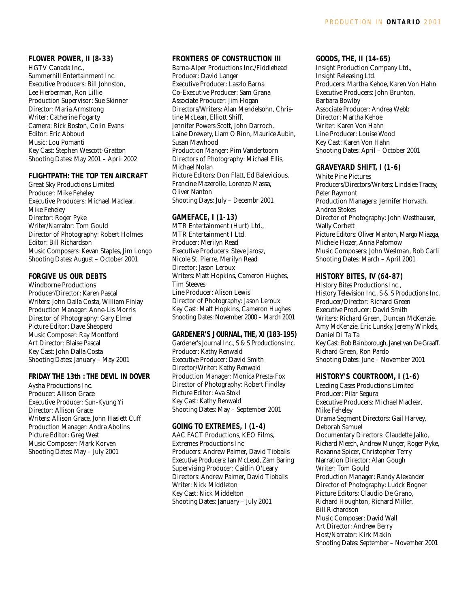## **FLOWER POWER, II (8-33)**

HGTV Canada Inc., Summerhill Entertainment Inc. Executive Producers: Bill Johnston, Lee Herberman, Ron Lillie Production Supervisor: Sue Skinner Director: Maria Armstrong Writer: Catherine Fogarty Camera: Rick Boston, Colin Evans Editor: Eric Abboud Music: Lou Pomanti Key Cast: Stephen Wescott-Gratton Shooting Dates: May 2001 – April 2002

#### **FLIGHTPATH: THE TOP TEN AIRCRAFT**

Great Sky Productions Limited Producer: Mike Feheley Executive Producers: Michael Maclear, Mike Feheley Director: Roger Pyke Writer/Narrator: Tom Gould Director of Photography: Robert Holmes Editor: Bill Richardson Music Composers: Kevan Staples, Jim Longo Shooting Dates: August – October 2001

## **FORGIVE US OUR DEBTS**

Windborne Productions Producer/Director: Karen Pascal Writers: John Dalla Costa, William Finlay Production Manager: Anne-Lis Morris Director of Photography: Gary Elmer Picture Editor: Dave Shepperd Music Composer: Ray Montford Art Director: Blaise Pascal Key Cast: John Dalla Costa Shooting Dates: January – May 2001

## **FRIDAY THE 13th : THE DEVIL IN DOVER**

Aysha Productions Inc. Producer: Allison Grace Executive Producer: Sun-Kyung Yi Director: Allison Grace Writers: Allison Grace, John Haslett Cuff Production Manager: Andra Abolins Picture Editor: Greg West Music Composer: Mark Korven Shooting Dates: May – July 2001

## **FRONTIERS OF CONSTRUCTION III**

Barna-Alper Productions Inc./Fiddlehead Producer: David Langer Executive Producer: Laszlo Barna Co-Executive Producer: Sam Grana Associate Producer: Jim Hogan Directors/Writers: Alan Mendelsohn, Christine McLean, Elliott Shiff, Jennifer Powers Scott, John Darroch, Laine Drewery, Liam O'Rinn, Maurice Aubin, Susan Mawhood Production Manger: Pim Vandertoorn Directors of Photography: Michael Ellis, Michael Nolan Picture Editors: Don Flatt, Ed Balevicious, Francine Mazerolle, Lorenzo Massa, Oliver Nanton Shooting Days: July – Decembr 2001

## **GAMEFACE, I (1-13)**

MTR Entertainment (Hurt) Ltd., MTR Entertainment I Ltd. Producer: Merilyn Read Executive Producers: Steve Jarosz, Nicole St. Pierre, Merilyn Read Director: Jason Leroux Writers: Matt Hopkins, Cameron Hughes, Tim Steeves Line Producer: Alison Lewis Director of Photography: Jason Leroux Key Cast: Matt Hopkins, Cameron Hughes Shooting Dates: November 2000 – March 2001

## **GARDENER'S JOURNAL, THE, XI (183-195)**

Gardener's Journal Inc., S & S Productions Inc. Producer: Kathy Renwald Executive Producer: David Smith Director/Writer: Kathy Renwald Production Manager: Monica Presta-Fox Director of Photography: Robert Findlay Picture Editor: Ava Stokl Key Cast: Kathy Renwald Shooting Dates: May – September 2001

## **GOING TO EXTREMES, I (1-4)**

AAC FACT Productions, KEO Films, Extremes Productions Inc Producers: Andrew Palmer, David Tibballs Executive Producers: Ian McLeod, Zam Baring Supervising Producer: Caitlin O'Leary Directors: Andrew Palmer, David Tibballs Writer: Nick Middleton Key Cast: Nick Middelton Shooting Dates: January – July 2001

## **GOODS, THE, II (14-65)**

Insight Production Company Ltd., Insight Releasing Ltd. Producers: Martha Kehoe, Karen Von Hahn Executive Producers: John Brunton, Barbara Bowlby Associate Producer: Andrea Webb Director: Martha Kehoe Writer: Karen Von Hahn Line Producer: Louise Wood Key Cast: Karen Von Hahn Shooting Dates: April – October 2001

## **GRAVEYARD SHIFT, I (1-6)**

White Pine Pictures Producers/Directors/Writers: Lindalee Tracey, Peter Raymont Production Managers: Jennifer Horvath, Andrea Stokes Director of Photography: John Westhauser, Wally Corbett Picture Editors: Oliver Manton, Margo Miazga, Michele Hozer, Anna Pafomow Music Composers: John Weslman, Rob Carli Shooting Dates: March – April 2001

## **HISTORY BITES, IV (64-87)**

History Bites Productions Inc., History Television Inc., S & S Productions Inc. Producer/Director: Richard Green Executive Producer: David Smith Writers: Richard Green, Duncan McKenzie, Amy McKenzie, Eric Lunsky, Jeremy Winkels, Daniel Di Ta Ta Key Cast: Bob Bainborough, Janet van De Graaff, Richard Green, Ron Pardo Shooting Dates: June – November 2001

## **HISTORY'S COURTROOM, I (1-6)**

Leading Cases Productions Limited Producer: Pilar Segura Executive Producers: Michael Maclear, Mike Feheley Drama Segment Directors: Gail Harvey, Deborah Samuel Documentary Directors: Claudette Jaiko, Richard Meech, Andrew Munger, Roger Pyke, Roxanna Spicer, Christopher Terry Narration Director: Alan Gough Writer: Tom Gould Production Manager: Randy Alexander Director of Photography: Ludck Bogner Picture Editors: Claudio De Grano, Richard Houghton, Richard Miller, Bill Richardson Music Composer: David Wall Art Director: Andrew Berry Host/Narrator: Kirk Makin Shooting Dates: September – November 2001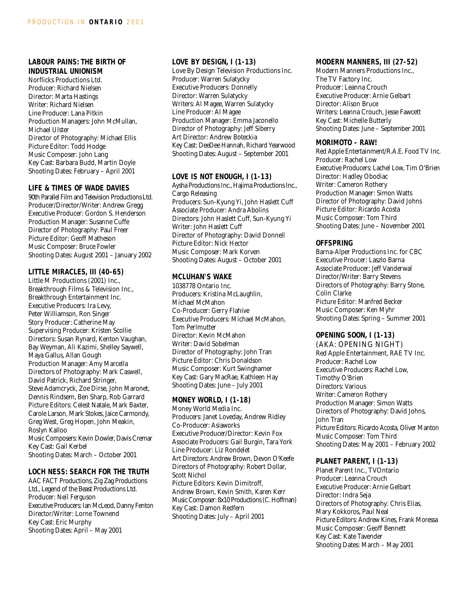## **LABOUR PAINS: THE BIRTH OF INDUSTRIAL UNIONISM**

Norflicks Productions Ltd. Producer: Richard Nielsen Director: Marta Hastings Writer: Richard Nielsen Line Producer: Lana Pitkin Production Managers: John McMullan, Michael Ulster Director of Photography: Michael Ellis Picture Editor: Todd Hodge Music Composer: John Lang Key Cast: Barbara Budd, Martin Doyle Shooting Dates: February – April 2001

## **LIFE & TIMES OF WADE DAVIES**

90th Parallel Film and Television Productions Ltd. Producer/Director/Writer: Andrew Gregg Executive Producer: Gordon S. Henderson Production Manager: Susanne Cuffe Director of Photography: Paul Freer Picture Editor: Geoff Matheson Music Composer: Bruce Fowler Shooting Dates: August 2001 – January 2002

## **LITTLE MIRACLES, III (40-65)**

Little M Productions (2001) Inc., Breakthrough Films & Television Inc., Breakthrough Entertainment Inc. Executive Producers: Ira Levy, Peter Williamson, Ron Singer Story Producer: Catherine May Supervising Producer: Kristen Scollie Directors: Susan Rynard, Kenton Vaughan, Bay Weyman, Ali Kazimi, Shelley Saywell, Maya Gallus, Allan Gough Production Manager: Amy Marcella Directors of Photography: Mark Caswell, David Patrick, Richard Stringer, Steve Adamcryck, Zoe Dirse, John Maronet, Dennis Rindsem, Ben Sharp, Rob Garrard Picture Editors: Celest Natale, Mark Baxter, Carole Larson, Mark Stokes, Jaice Carmondy, Greg West, Greg Hopen, John Meakin, Roslyn Kalloo Music Composers: Kevin Dowler, Davis Cremar Key Cast: Gail Kerbel Shooting Dates: March – October 2001

## **LOCH NESS: SEARCH FOR THE TRUTH**

AAC FACT Productions, Zig Zag Productions Ltd., Legend of the Beast Productions Ltd. Producer: Neil Ferguson Executive Producers: Ian McLeod, Danny Fenton Director/Writer: Lorne Townend Key Cast: Eric Murphy Shooting Dates: April – May 2001

## **LOVE BY DESIGN, I (1-13)**

Love By Design Television Productions Inc. Producer: Warren Sulatycky Executive Producers: Donnelly Director: Warren Sulatycky Writers: Al Magee, Warren Sulatycky Line Producer: Al Magee Production Manager: Emma Jaconello Director of Photography: Jeff Siberry Art Director: Andrew Boteckia Key Cast: DeeDee Hannah, Richard Yearwood Shooting Dates: August – September 2001

#### **LOVE IS NOT ENOUGH, I (1-13)**

Aysha Productions Inc., Hajima Productions Inc., Cargo Releasing Producers: Sun-Kyung Yi, John Haslett Cuff Associate Producer: Andra Abolins Directors: John Haslett Cuff, Sun-Kyung Yi Writer: John Haslett Cuff Director of Photography: David Donnell Picture Editor: Nick Hector Music Composer: Mark Korven Shooting Dates: August – October 2001

#### **MCLUHAN'S WAKE**

1038778 Ontario Inc. Producers: Kristina McLaughlin, Michael McMahon Co-Producer: Gerry Flahive Executive Producers: Michael McMahon, Tom Perlmutter Director: Kevin McMahon Writer: David Sobelman Director of Photography: John Tran Picture Editor: Chris Donaldson Music Composer: Kurt Swinghamer Key Cast: Gary MacRae, Kathleen Hay Shooting Dates: June – July 2001

## **MONEY WORLD, I (1-18)**

Money World Media Inc. Producers: Janet Loveday, Andrew Ridley Co-Producer: Asiaworks Executive Producer/Director: Kevin Fox Associate Producers: Gail Burgin, Tara York Line Producer: Liz Rondelet Art Directors: Andrew Brown, Devon O'Keefe Directors of Photography: Robert Dollar, Scott Nichol Picture Editors: Kevin Dimitroff, Andrew Brown, Kevin Smith, Karen Kerr Music Composer: 8x10 Productions (C. Hoffman) Key Cast: Damon Redfern Shooting Dates: July – April 2001

#### **MODERN MANNERS, III (27-52)**

Modern Manners Productions Inc., The TV Factory Inc. Producer: Leanna Crouch Executive Producer: Arnie Gelbart Director: Alison Bruce Writers: Leanna Crouch, Jesse Fawcett Key Cast: Michelle Butterly Shooting Dates: June – September 2001

## **MORIMOTO - RAW!**

Red Apple Entertainment/R.A.E. Food TV Inc. Producer: Rachel Low Executive Producers: Lachel Low, Tim O'Brien Director: Hadley Obodiac Writer: Cameron Rothery Production Manager: Simon Watts Director of Photography: David Johns Picture Editor: Ricardo Acosta Music Composer: Tom Third Shooting Dates: June – November 2001

#### **OFFSPRING**

Barna-Alper Productions Inc. for CBC Executive Proucer: Laszlo Barna Associate Producer: Jeff Vanderwal Director/Writer: Barry Stevens Directors of Photography: Barry Stone, Colin Clarke Picture Editor: Manfred Becker Music Composer: Ken Myhr Shooting Dates: Spring – Summer 2001

## **OPENING SOON, I (1-13)**

(AKA: OPENING NIGHT) Red Apple Entertainment, RAE TV Inc. Producer: Rachel Low Executive Producers: Rachel Low, Timothy O'Brien Directors: Various Writer: Cameron Rothery Production Manager: Simon Watts Directors of Photography: David Johns, John Tran Picture Editors: Ricardo Acosta, Oliver Manton Music Composer: Tom Third Shooting Dates: May 2001 – February 2002

## **PLANET PARENT, I (1-13)**

Planet Parent Inc., TVOntario Producer: Leanna Crouch Executive Producer: Arnie Gelbart Director: Indra Seja Directors of Photography: Chris Elias, Mary Kokkoros, Paul Neal Picture Editors: Andrew Kines, Frank Moressa Music Composer: Geoff Bennett Key Cast: Kate Tavender Shooting Dates: March – May 2001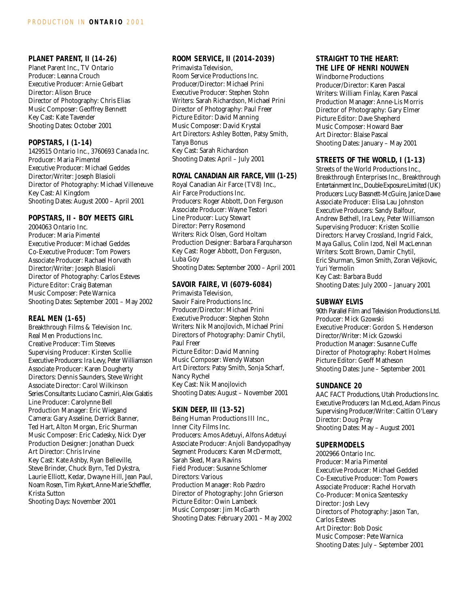#### **PLANET PARENT, II (14-26)**

Planet Parent Inc., TV Ontario Producer: Leanna Crouch Executive Producer: Arnie Gelbart Director: Alison Bruce Director of Photography: Chris Elias Music Composer: Geoffrey Bennett Key Cast: Kate Tavender Shooting Dates: October 2001

## **POPSTARS, I (1-14)**

1429515 Ontario Inc., 3760693 Canada Inc. Producer: Maria Pimentel Executive Producer: Michael Geddes Director/Writer: Joseph Blasioli Director of Photography: Michael Villeneuve Key Cast: Al Kingdom Shooting Dates: August 2000 – April 2001

#### **POPSTARS, II - BOY MEETS GIRL**

2004063 Ontario Inc. Producer: Maria Pimentel Executive Producer: Michael Geddes Co-Executive Producer: Tom Powers Associate Producer: Rachael Horvath Director/Writer: Joseph Blasioli Director of Photography: Carlos Esteves Picture Editor: Craig Bateman Music Composer: Pete Warnica Shooting Dates: September 2001 – May 2002

## **REAL MEN (1-65)**

Breakthrough Films & Television Inc. Real Men Productions Inc. Creative Producer: Tim Steeves Supervising Producer: Kirsten Scollie Executive Producers: Ira Levy, Peter Williamson Associate Producer: Karen Dougherty Directors: Dennis Saunders, Steve Wright Associate Director: Carol Wilkinson Series Consultants: Luciano Casmiri, Alex Galatis Line Producer: Carolynne Bell Production Manager: Eric Wiegand Camera: Gary Asseline, Derrick Banner, Ted Hart, Alton Morgan, Eric Shurman Music Composer: Eric Cadesky, Nick Dyer Production Designer: Jonathan Dueck Art Director: Chris Irvine Key Cast: Kate Ashby, Ryan Belleville, Steve Brinder, Chuck Byrn, Ted Dykstra, Laurie Elliott, Kedar, Dwayne Hill, Jean Paul, Noam Rosen, Tim Rykert, Anne-Marie Scheffler, Krista Sutton Shooting Days: November 2001

## **ROOM SERVICE, II (2014-2039)**

Primavista Television, Room Service Productions Inc. Producer/Director: Michael Prini Executive Producer: Stephen Stohn Writers: Sarah Richardson, Michael Prini Director of Photography: Paul Freer Picture Editor: David Manning Music Composer: David Krystal Art Directors: Ashley Botten, Patsy Smith, Tanya Bonus Key Cast: Sarah Richardson Shooting Dates: April – July 2001

#### **ROYAL CANADIAN AIR FARCE, VIII (1-25)**

Royal Canadian Air Farce (TV8) Inc., Air Farce Productions Inc. Producers: Roger Abbott, Don Ferguson Associate Producer: Wayne Testori Line Producer: Lucy Stewart Director: Perry Rosemond Writers: Rick Olsen, Gord Holtam Production Designer: Barbara Farquharson Key Cast: Roger Abbott, Don Ferguson, Luba Goy Shooting Dates: September 2000 – April 2001

## **SAVOIR FAIRE, VI (6079-6084)**

Primavista Television, Savoir Faire Productions Inc. Producer/Director: Michael Prini Executive Producer: Stephen Stohn Writers: Nik Manojlovich, Michael Prini Directors of Photography: Damir Chytil, Paul Freer Picture Editor: David Manning Music Composer: Wendy Watson Art Directors: Patsy Smith, Sonja Scharf, Nancy Rychel Key Cast: Nik Manojlovich Shooting Dates: August – November 2001

## **SKIN DEEP, III (13-52)**

Being Human Productions III Inc., Inner City Films Inc. Producers: Amos Adetuyi, Alfons Adetuyi Associate Producer: Anjoli Bandyopadhyay Segment Producers: Karen McDermott, Sarah Sked, Mara Ravins Field Producer: Susanne Schlomer Directors: Various Production Manager: Rob Pazdro Director of Photography: John Grierson Picture Editor: Owin Lambeck Music Composer: Jim McGarth Shooting Dates: February 2001 – May 2002

## **STRAIGHT TO THE HEART: THE LIFE OF HENRI NOUWEN**

Windborne Productions Producer/Director: Karen Pascal Writers: William Finlay, Karen Pascal Production Manager: Anne-Lis Morris Director of Photography: Gary Elmer Picture Editor: Dave Shepherd Music Composer: Howard Baer Art Director: Blaise Pascal Shooting Dates: January – May 2001

## **STREETS OF THE WORLD, I (1-13)**

Streets of the World Productions Inc., Breakthrough Enterprises Inc., Breakthrough Entertainment Inc.,Double Exposure Limited (UK) Producers: Lucy Bassnett-McGuire, Janice Dawe Associate Producer: Elisa Lau Johnston Executive Producers: Sandy Balfour, Andrew Bethell, Ira Levy, Peter Williamson Supervising Producer: Kristen Scollie Directors: Harvey Crossland, Ingrid Falck, Maya Gallus, Colin Izod, Neil MacLennan Writers: Scott Brown, Damir Chytil, Eric Shurman, Simon Smith, Zoran Veljkovic, Yuri Yermolin Key Cast: Barbara Budd Shooting Dates: July 2000 – January 2001

## **SUBWAY ELVIS**

90th Parallel Film and Television Productions Ltd. Producer: Mick Gzowski Executive Producer: Gordon S. Henderson Director/Writer: Mick Gzowski Production Manager: Susanne Cuffe Director of Photography: Robert Holmes Picture Editor: Geoff Matheson Shooting Dates: June – September 2001

## **SUNDANCE 20**

AAC FACT Productions, Utah Productions Inc. Executive Producers: Ian McLeod, Adam Pincus Supervising Producer/Writer: Caitlin O'Leary Director: Doug Pray Shooting Dates: May – August 2001

## **SUPERMODELS**

2002966 Ontario Inc. Producer: Maria Pimentel Executive Producer: Michael Gedded Co-Executive Producer: Tom Powers Associate Producer: Rachel Horvath Co-Producer: Monica Szenteszky Director: Josh Levy Directors of Photography: Jason Tan, Carlos Esteves Art Director: Bob Dosic Music Composer: Pete Warnica Shooting Dates: July – September 2001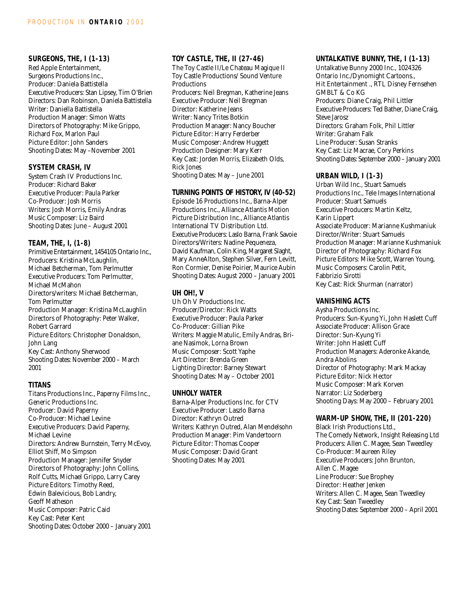## **SURGEONS, THE, I (1-13)**

Red Apple Entertainment, Surgeons Productions Inc., Producer: Daniela Battistella Executive Producers: Stan Lipsey, Tim O'Brien Directors: Dan Robinson, Daniela Battistella Writer: Daniella Battistella Production Manager: Simon Watts Directors of Photography: Mike Grippo, Richard Fox, Marlon Paul Picture Editor: John Sanders Shooting Dates: May –November 2001

#### **SYSTEM CRASH, IV**

System Crash IV Productions Inc. Producer: Richard Baker Executive Producer: Paula Parker Co-Producer: Josh Morris Writers: Josh Morris, Emily Andras Music Composer: Liz Baird Shooting Dates: June – August 2001

## **TEAM, THE, I, (1-8)**

Primitive Entertainment, 1454105 Ontario Inc., Producers: Kristina McLaughlin, Michael Betcherman, Tom Perlmutter Executive Producers: Tom Perlmutter, Michael McMahon Directors/writers: Michael Betcherman, Tom Perlmutter Production Manager: Kristina McLaughlin Directors of Photography: Peter Walker, Robert Garrard Picture Editors: Christopher Donaldson, John Lang Key Cast: Anthony Sherwood Shooting Dates: November 2000 – March 2001

## **TITANS**

Titans Productions Inc., Paperny Films Inc., Generic Productions Inc. Producer: David Paperny Co-Producer: Michael Levine Executive Producers: David Paperny, Michael Levine Directors: Andrew Burnstein, Terry McEvoy, Elliot Shiff, Mo Simpson Production Manager: Jennifer Snyder Directors of Photography: John Collins, Rolf Cutts, Michael Grippo, Larry Carey Picture Editors: Timothy Reed, Edwin Balevicious, Bob Landry, Geoff Matheson Music Composer: Patric Caid Key Cast: Peter Kent Shooting Dates: October 2000 – January 2001

## **TOY CASTLE, THE, II (27-46)**

The Toy Castle II/Le Chateau Magique II Toy Castle Productions/ Sound Venture **Productions** Producers: Neil Bregman, Katherine Jeans Executive Producer: Neil Bregman Director: Katherine Jeans Writer: Nancy Trites Botkin Production Manager: Nancy Boucher Picture Editor: Harry Ferderber Music Composer: Andrew Huggett Production Designer: Mary Kerr Key Cast: Jorden Morris, Elizabeth Olds, Rick Jones Shooting Dates: May – June 2001

#### **TURNING POINTS OF HISTORY, IV (40-52)**

Episode 16 Productions Inc., Barna-Alper Productions Inc., Alliance Atlantis Motion Picture Distribution Inc., Alliance Atlantis International TV Distribution Ltd. Executive Producers: Laslo Barna, Frank Savoie Directors/Writers: Nadine Pequeneza, David Kaufman, Colin King, Margaret Slaght, Mary AnneAlton, Stephen Silver, Fern Levitt, Ron Cormier, Denise Poirier, Maurice Aubin Shooting Dates: August 2000 – January 2001

## **UH OH!, V**

Uh Oh V Productions Inc. Producer/Director: Rick Watts Executive Producer: Paula Parker Co-Producer: Gillian Pike Writers: Maggie Matulic, Emily Andras, Briane Nasimok, Lorna Brown Music Composer: Scott Yaphe Art Director: Brenda Green Lighting Director: Barney Stewart Shooting Dates: May – October 2001

## **UNHOLY WATER**

Barna-Alper Productions Inc. for CTV Executive Producer: Laszlo Barna Director: Kathryn Outred Writers: Kathryn Outred, Alan Mendelsohn Production Manager: Pim Vandertoorn Picture Editor: Thomas Cooper Music Composer: David Grant Shooting Dates: May 2001

## **UNTALKATIVE BUNNY, THE, I (1-13)**

Untalkative Bunny 2000 Inc., 1024326 Ontario Inc./Dynomight Cartoons., Hit Entertainment ., RTL Disney Fernsehen GMBLT & Co KG Producers: Diane Craig, Phil Littler Executive Producers: Ted Bather, Diane Craig, Steve Jarosz Directors: Graham Folk, Phil Littler Writer: Graham Falk Line Producer: Susan Stranks Key Cast: Liz Macrae, Cory Perkins Shooting Dates: September 2000 – January 2001

#### **URBAN WILD, I (1-3)**

Urban Wild Inc., Stuart Samuels Productions Inc., Tele Images International Producer: Stuart Samuels Executive Producers: Martin Keltz, Karin Lippert Associate Producer: Marianne Kushmaniuk Director/Writer: Stuart Samuels Production Manager: Marianne Kushmaniuk Director of Photography: Richard Fox Picture Editors: Mike Scott, Warren Young, Music Composers: Carolin Petit, Fabbrizio Sirotti Key Cast: Rick Shurman (narrator)

## **VANISHING ACTS**

Aysha Productions Inc. Producers: Sun-Kyung Yi, John Haslett Cuff Associate Producer: Allison Grace Director: Sun-Kyung Yi Writer: John Haslett Cuff Production Managers: Aderonke Akande, Andra Abolins Director of Photography: Mark Mackay Picture Editor: Nick Hector Music Composer: Mark Korven Narrator: Liz Soderberg Shooting Days: May 2000 – February 2001

## **WARM-UP SHOW, THE, II (201-220)**

Black Irish Productions Ltd., The Comedy Network, Insight Releasing Ltd Producers: Allen C. Magee, Sean Tweedley Co-Producer: Maureen Riley Executive Producers: John Brunton, Allen C. Magee Line Producer: Sue Brophey Director: Heather Jenken Writers: Allen C. Magee, Sean Tweedley Key Cast: Sean Tweedley Shooting Dates: September 2000 – April 2001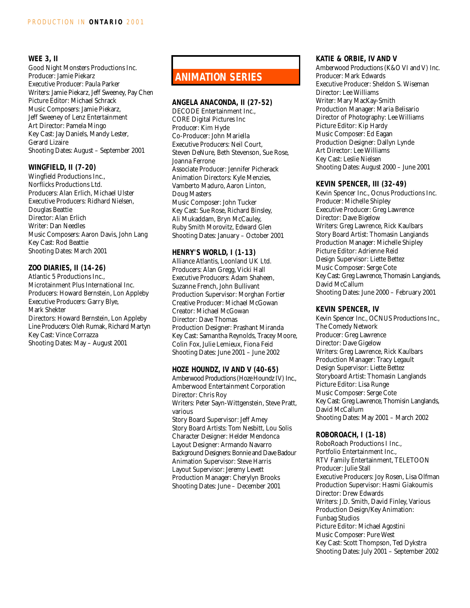## **WEE 3, II**

Good Night Monsters Productions Inc. Producer: Jamie Piekarz Executive Producer: Paula Parker Writers: Jamie Piekarz, Jeff Sweeney, Pay Chen Picture Editor: Michael Schrack Music Composers: Jamie Piekarz, Jeff Sweeney of Lenz Entertainment Art Director: Pamela Mingo Key Cast: Jay Daniels, Mandy Lester, Gerard Lizaire Shooting Dates: August – September 2001

## **WINGFIELD, II (7-20)**

Wingfield Productions Inc., Norflicks Productions Ltd. Producers: Alan Erlich, Michael Ulster Executive Producers: Ridhard Nielsen, Douglas Beattie Director: Alan Erlich Writer: Dan Needles Music Composers: Aaron Davis, John Lang Key Cast: Rod Beattie Shooting Dates: March 2001

## **ZOO DIARIES, II (14-26)**

Atlantic 5 Productions Inc., Microtainment Plus International Inc. Producers: Howard Bernstein, Lon Appleby Executive Producers: Garry Blye, Mark Shekter Directors: Howard Bernstein, Lon Appleby Line Producers: Oleh Rumak, Richard Martyn Key Cast: Vince Corrazza Shooting Dates: May – August 2001

# **ANIMATION SERIES**

## **ANGELA ANACONDA, II (27-52)**

DECODE Entertainment Inc., CORE Digital Pictures Inc Producer: Kim Hyde Co-Producer: John Mariella Executive Producers: Neil Court, Steven DeNure, Beth Stevenson, Sue Rose, Joanna Ferrone Associate Producer: Jennifer Picherack Animation Directors: Kyle Menzies, Vamberto Maduro, Aaron Linton, Doug Masters Music Composer: John Tucker Key Cast: Sue Rose, Richard Binsley, Ali Mukaddam, Bryn McCauley, Ruby Smith Morovitz, Edward Glen Shooting Dates: January – October 2001

#### **HENRY'S WORLD, I (1-13)**

Alliance Atlantis, Loonland UK Ltd. Producers: Alan Gregg, Vicki Hall Executive Producers: Adam Shaheen, Suzanne French, John Bullivant Production Supervisor: Morghan Fortier Creative Producer: Michael McGowan Creator: Michael McGowan Director: Dave Thomas Production Designer: Prashant Miranda Key Cast: Samantha Reynolds, Tracey Moore, Colin Fox, Julie Lemieux, Fiona Feid Shooting Dates: June 2001 – June 2002

## **HOZE HOUNDZ, IV AND V (40-65)**

Amberwood Productions (Hoze Houndz IV) Inc., Amberwood Entertainment Corporation Director: Chris Roy Writers: Peter Sayn-Wittgenstein, Steve Pratt, various Story Board Supervisor: Jeff Amey Story Board Artists: Tom Nesbitt, Lou Solis Character Designer: Helder Mendonca Layout Designer: Armando Navarro Background Designers: Bonnie and Dave Badour Animation Supervisor: Steve Harris Layout Supervisor: Jeremy Levett Production Manager: Cherylyn Brooks Shooting Dates: June – December 2001

## **KATIE & ORBIE, IV AND V**

Amberwood Productions (K&O VI and V) Inc. Producer: Mark Edwards Executive Producer: Sheldon S. Wiseman Director: Lee Williams Writer: Mary MacKay-Smith Production Manager: Maria Belisario Director of Photography: Lee Williams Picture Editor: Kip Hardy Music Composer: Ed Eagan Production Designer: Dallyn Lynde Art Director: Lee Williams Key Cast: Leslie Nielsen Shooting Dates: August 2000 – June 2001

#### **KEVIN SPENCER, III (32-49)**

Kevin Spencer Inc., Ocnus Productions Inc. Producer: Michelle Shipley Executive Producer: Greg Lawrence Director: Dave Bigelow Writers: Greg Lawrence, Rick Kaulbars Story Board Artist: Thomasin Langiands Production Manager: Michelle Shipley Picture Editor: Adrienne Reid Design Supervisor: Liette Bettez Music Composer: Serge Cote Key Cast: Greg Lawrence, Thomasin Langiands, David McCallum Shooting Dates: June 2000 – February 2001

#### **KEVIN SPENCER, IV**

Kevin Spencer Inc., OCNUS Productions Inc., The Comedy Network Producer: Greg Lawrence Director: Dave Gigelow Writers: Greg Lawrence, Rick Kaulbars Production Manager: Tracy Legault Design Supervisor: Liette Bettez Storyboard Artist: Thomasin Langlands Picture Editor: Lisa Runge Music Composer: Serge Cote Key Cast: Greg Lawrence, Thomisin Langlands, David McCallum Shooting Dates: May 2001 – March 2002

## **ROBOROACH, I (1-18)**

RoboRoach Productions I Inc., Portfolio Entertainment Inc., RTV Family Entertainment, TELETOON Producer: Julie Stall Executive Producers: Joy Rosen, Lisa Olfman Production Supervisor: Hasmi Giakoumis Director: Drew Edwards Writers: J.D. Smith, David Finley, Various Production Design/Key Animation: Funbag Studios Picture Editor: Michael Agostini Music Composer: Pure West Key Cast: Scott Thompson, Ted Dykstra Shooting Dates: July 2001 – September 2002